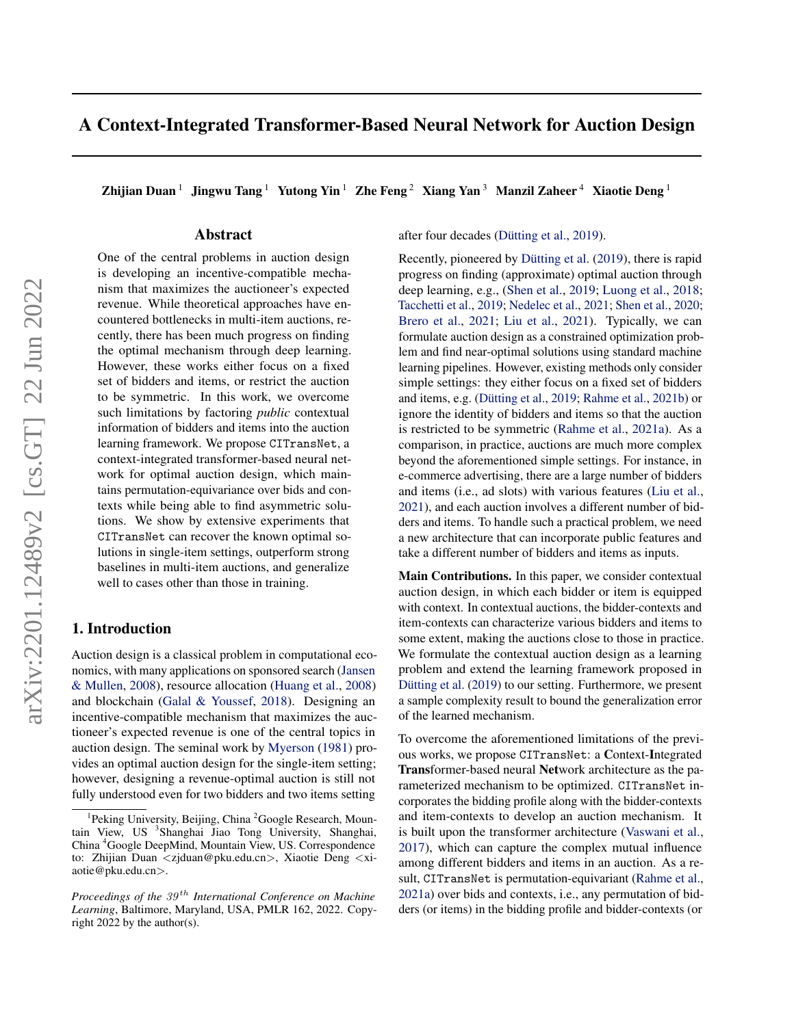# A Context-Integrated Transformer-Based Neural Network for Auction Design

Zhijian Duan<sup>1</sup> Jingwu Tang<sup>1</sup> Yutong Yin<sup>1</sup> Zhe Feng<sup>2</sup> Xiang Yan<sup>3</sup> Manzil Zaheer<sup>4</sup> Xiaotie Deng<sup>1</sup>

# Abstract

One of the central problems in auction design is developing an incentive-compatible mechanism that maximizes the auctioneer's expected revenue. While theoretical approaches have encountered bottlenecks in multi-item auctions, recently, there has been much progress on finding the optimal mechanism through deep learning. However, these works either focus on a fixed set of bidders and items, or restrict the auction to be symmetric. In this work, we overcome such limitations by factoring *public* contextual information of bidders and items into the auction learning framework. We propose CITransNet, a context-integrated transformer-based neural network for optimal auction design, which maintains permutation-equivariance over bids and contexts while being able to find asymmetric solutions. We show by extensive experiments that CITransNet can recover the known optimal solutions in single-item settings, outperform strong baselines in multi-item auctions, and generalize well to cases other than those in training.

# 1. Introduction

Auction design is a classical problem in computational economics, with many applications on sponsored search [\(Jansen](#page-9-0) [& Mullen,](#page-9-0) [2008\)](#page-9-0), resource allocation [\(Huang et al.,](#page-9-1) [2008\)](#page-9-1) and blockchain [\(Galal & Youssef,](#page-9-2) [2018\)](#page-9-2). Designing an incentive-compatible mechanism that maximizes the auctioneer's expected revenue is one of the central topics in auction design. The seminal work by [Myerson](#page-9-3) [\(1981\)](#page-9-3) provides an optimal auction design for the single-item setting; however, designing a revenue-optimal auction is still not fully understood even for two bidders and two items setting

after four decades (Dütting et al., [2019\)](#page-8-0).

Recently, pioneered by Dütting et al.  $(2019)$ , there is rapid progress on finding (approximate) optimal auction through deep learning, e.g., [\(Shen et al.,](#page-9-4) [2019;](#page-9-4) [Luong et al.,](#page-9-5) [2018;](#page-9-5) [Tacchetti et al.,](#page-10-0) [2019;](#page-10-0) [Nedelec et al.,](#page-9-6) [2021;](#page-9-6) [Shen et al.,](#page-9-7) [2020;](#page-9-7) [Brero et al.,](#page-8-1) [2021;](#page-8-1) [Liu et al.,](#page-9-8) [2021\)](#page-9-8). Typically, we can formulate auction design as a constrained optimization problem and find near-optimal solutions using standard machine learning pipelines. However, existing methods only consider simple settings: they either focus on a fixed set of bidders and items, e.g. (Dütting et al., [2019;](#page-8-0) [Rahme et al.,](#page-9-9) [2021b\)](#page-9-9) or ignore the identity of bidders and items so that the auction is restricted to be symmetric [\(Rahme et al.,](#page-9-10) [2021a\)](#page-9-10). As a comparison, in practice, auctions are much more complex beyond the aforementioned simple settings. For instance, in e-commerce advertising, there are a large number of bidders and items (i.e., ad slots) with various features [\(Liu et al.,](#page-9-8) [2021\)](#page-9-8), and each auction involves a different number of bidders and items. To handle such a practical problem, we need a new architecture that can incorporate public features and take a different number of bidders and items as inputs.

Main Contributions. In this paper, we consider contextual auction design, in which each bidder or item is equipped with context. In contextual auctions, the bidder-contexts and item-contexts can characterize various bidders and items to some extent, making the auctions close to those in practice. We formulate the contextual auction design as a learning problem and extend the learning framework proposed in Dütting et al. [\(2019\)](#page-8-0) to our setting. Furthermore, we present a sample complexity result to bound the generalization error of the learned mechanism.

To overcome the aforementioned limitations of the previous works, we propose CITransNet: a Context-Integrated Transformer-based neural Network architecture as the parameterized mechanism to be optimized. CITransNet incorporates the bidding profile along with the bidder-contexts and item-contexts to develop an auction mechanism. It is built upon the transformer architecture [\(Vaswani et al.,](#page-10-1) [2017\)](#page-10-1), which can capture the complex mutual influence among different bidders and items in an auction. As a result, CITransNet is permutation-equivariant [\(Rahme et al.,](#page-9-10) [2021a\)](#page-9-10) over bids and contexts, i.e., any permutation of bidders (or items) in the bidding profile and bidder-contexts (or

<sup>&</sup>lt;sup>1</sup>Peking University, Beijing, China<sup>2</sup> Google Research, Mountain View, US <sup>3</sup>Shanghai Jiao Tong University, Shanghai, China <sup>4</sup>Google DeepMind, Mountain View, US. Correspondence to: Zhijian Duan <zjduan@pku.edu.cn>, Xiaotie Deng <xiaotie@pku.edu.cn>.

*Proceedings of the*  $39<sup>th</sup>$  *International Conference on Machine Learning*, Baltimore, Maryland, USA, PMLR 162, 2022. Copyright 2022 by the author(s).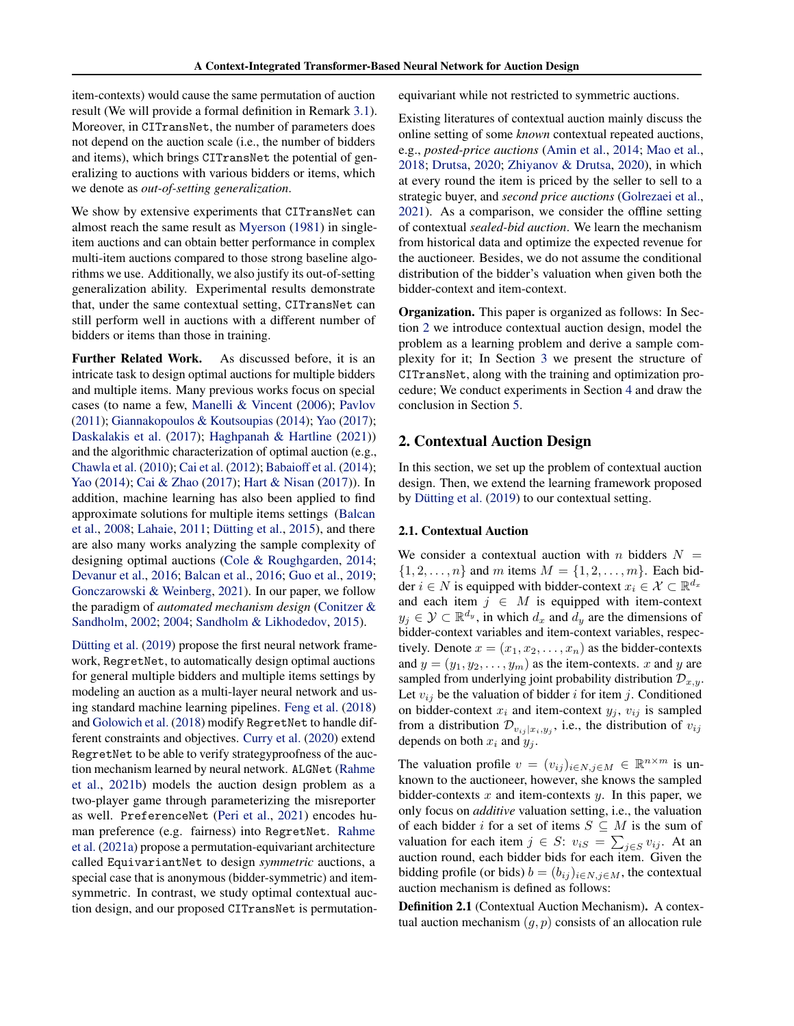item-contexts) would cause the same permutation of auction result (We will provide a formal definition in Remark [3.1\)](#page-5-0). Moreover, in CITransNet, the number of parameters does not depend on the auction scale (i.e., the number of bidders and items), which brings CITransNet the potential of generalizing to auctions with various bidders or items, which we denote as *out-of-setting generalization*.

We show by extensive experiments that CITransNet can almost reach the same result as [Myerson](#page-9-3) [\(1981\)](#page-9-3) in singleitem auctions and can obtain better performance in complex multi-item auctions compared to those strong baseline algorithms we use. Additionally, we also justify its out-of-setting generalization ability. Experimental results demonstrate that, under the same contextual setting, CITransNet can still perform well in auctions with a different number of bidders or items than those in training.

Further Related Work. As discussed before, it is an intricate task to design optimal auctions for multiple bidders and multiple items. Many previous works focus on special cases (to name a few, [Manelli & Vincent](#page-9-11) [\(2006\)](#page-9-11); [Pavlov](#page-9-12) [\(2011\)](#page-9-12); [Giannakopoulos & Koutsoupias](#page-9-13) [\(2014\)](#page-9-13); [Yao](#page-10-2) [\(2017\)](#page-10-2); [Daskalakis et al.](#page-8-2) [\(2017\)](#page-8-2); [Haghpanah & Hartline](#page-9-14) [\(2021\)](#page-9-14)) and the algorithmic characterization of optimal auction (e.g., [Chawla et al.](#page-8-3) [\(2010\)](#page-8-3); [Cai et al.](#page-8-4) [\(2012\)](#page-8-4); [Babaioff et al.](#page-8-5) [\(2014\)](#page-8-5); [Yao](#page-10-3) [\(2014\)](#page-10-3); [Cai & Zhao](#page-8-6) [\(2017\)](#page-8-6); [Hart & Nisan](#page-9-15) [\(2017\)](#page-9-15)). In addition, machine learning has also been applied to find approximate solutions for multiple items settings [\(Balcan](#page-8-7) [et al.,](#page-8-7)  $2008$ ; [Lahaie,](#page-9-16)  $2011$ ; Dütting et al.,  $2015$ ), and there are also many works analyzing the sample complexity of designing optimal auctions [\(Cole & Roughgarden,](#page-8-9) [2014;](#page-8-9) [Devanur et al.,](#page-8-10) [2016;](#page-8-10) [Balcan et al.,](#page-8-11) [2016;](#page-8-11) [Guo et al.,](#page-9-17) [2019;](#page-9-17) [Gonczarowski & Weinberg,](#page-9-18) [2021\)](#page-9-18). In our paper, we follow the paradigm of *automated mechanism design* [\(Conitzer &](#page-8-12) [Sandholm,](#page-8-12) [2002;](#page-8-12) [2004;](#page-8-13) [Sandholm & Likhodedov,](#page-9-19) [2015\)](#page-9-19).

Dütting et al. [\(2019\)](#page-8-0) propose the first neural network framework, RegretNet, to automatically design optimal auctions for general multiple bidders and multiple items settings by modeling an auction as a multi-layer neural network and using standard machine learning pipelines. [Feng et al.](#page-8-14) [\(2018\)](#page-8-14) and [Golowich et al.](#page-9-20) [\(2018\)](#page-9-20) modify RegretNet to handle different constraints and objectives. [Curry et al.](#page-8-15) [\(2020\)](#page-8-15) extend RegretNet to be able to verify strategyproofness of the auction mechanism learned by neural network. ALGNet [\(Rahme](#page-9-9) [et al.,](#page-9-9) [2021b\)](#page-9-9) models the auction design problem as a two-player game through parameterizing the misreporter as well. PreferenceNet [\(Peri et al.,](#page-9-21) [2021\)](#page-9-21) encodes human preference (e.g. fairness) into RegretNet. [Rahme](#page-9-10) [et al.](#page-9-10) [\(2021a\)](#page-9-10) propose a permutation-equivariant architecture called EquivariantNet to design *symmetric* auctions, a special case that is anonymous (bidder-symmetric) and itemsymmetric. In contrast, we study optimal contextual auction design, and our proposed CITransNet is permutationequivariant while not restricted to symmetric auctions.

Existing literatures of contextual auction mainly discuss the online setting of some *known* contextual repeated auctions, e.g., *posted-price auctions* [\(Amin et al.,](#page-8-16) [2014;](#page-8-16) [Mao et al.,](#page-9-22) [2018;](#page-9-22) [Drutsa,](#page-8-17) [2020;](#page-8-17) [Zhiyanov & Drutsa,](#page-10-4) [2020\)](#page-10-4), in which at every round the item is priced by the seller to sell to a strategic buyer, and *second price auctions* [\(Golrezaei et al.,](#page-9-23) [2021\)](#page-9-23). As a comparison, we consider the offline setting of contextual *sealed-bid auction*. We learn the mechanism from historical data and optimize the expected revenue for the auctioneer. Besides, we do not assume the conditional distribution of the bidder's valuation when given both the bidder-context and item-context.

Organization. This paper is organized as follows: In Section [2](#page-1-0) we introduce contextual auction design, model the problem as a learning problem and derive a sample complexity for it; In Section [3](#page-3-0) we present the structure of CITransNet, along with the training and optimization procedure; We conduct experiments in Section [4](#page-6-0) and draw the conclusion in Section [5.](#page-7-0)

# <span id="page-1-0"></span>2. Contextual Auction Design

In this section, we set up the problem of contextual auction design. Then, we extend the learning framework proposed by Dütting et al.  $(2019)$  to our contextual setting.

#### 2.1. Contextual Auction

We consider a contextual auction with n bidders  $N =$  $\{1, 2, \ldots, n\}$  and m items  $M = \{1, 2, \ldots, m\}$ . Each bidder  $i \in N$  is equipped with bidder-context  $x_i \in \mathcal{X} \subset \mathbb{R}^{d_x}$ and each item  $j \in M$  is equipped with item-context  $y_j \in \mathcal{Y} \subset \mathbb{R}^{d_y}$ , in which  $d_x$  and  $d_y$  are the dimensions of bidder-context variables and item-context variables, respectively. Denote  $x = (x_1, x_2, \dots, x_n)$  as the bidder-contexts and  $y = (y_1, y_2, \dots, y_m)$  as the item-contexts. x and y are sampled from underlying joint probability distribution  $\mathcal{D}_{x,y}$ . Let  $v_{ij}$  be the valuation of bidder i for item j. Conditioned on bidder-context  $x_i$  and item-context  $y_j$ ,  $v_{ij}$  is sampled from a distribution  $\mathcal{D}_{v_{ij}|x_i,y_j}$ , i.e., the distribution of  $v_{ij}$ depends on both  $x_i$  and  $y_j$ .

The valuation profile  $v = (v_{ij})_{i \in N, j \in M} \in \mathbb{R}^{n \times m}$  is unknown to the auctioneer, however, she knows the sampled bidder-contexts  $x$  and item-contexts  $y$ . In this paper, we only focus on *additive* valuation setting, i.e., the valuation of each bidder i for a set of items  $S \subseteq M$  is the sum of valuation for each item  $j \in S$ :  $v_{iS} = \sum_{j \in S} v_{ij}$ . At an auction round, each bidder bids for each item. Given the bidding profile (or bids)  $b = (b_{ij})_{i \in N, j \in M}$ , the contextual auction mechanism is defined as follows:

Definition 2.1 (Contextual Auction Mechanism). A contextual auction mechanism  $(q, p)$  consists of an allocation rule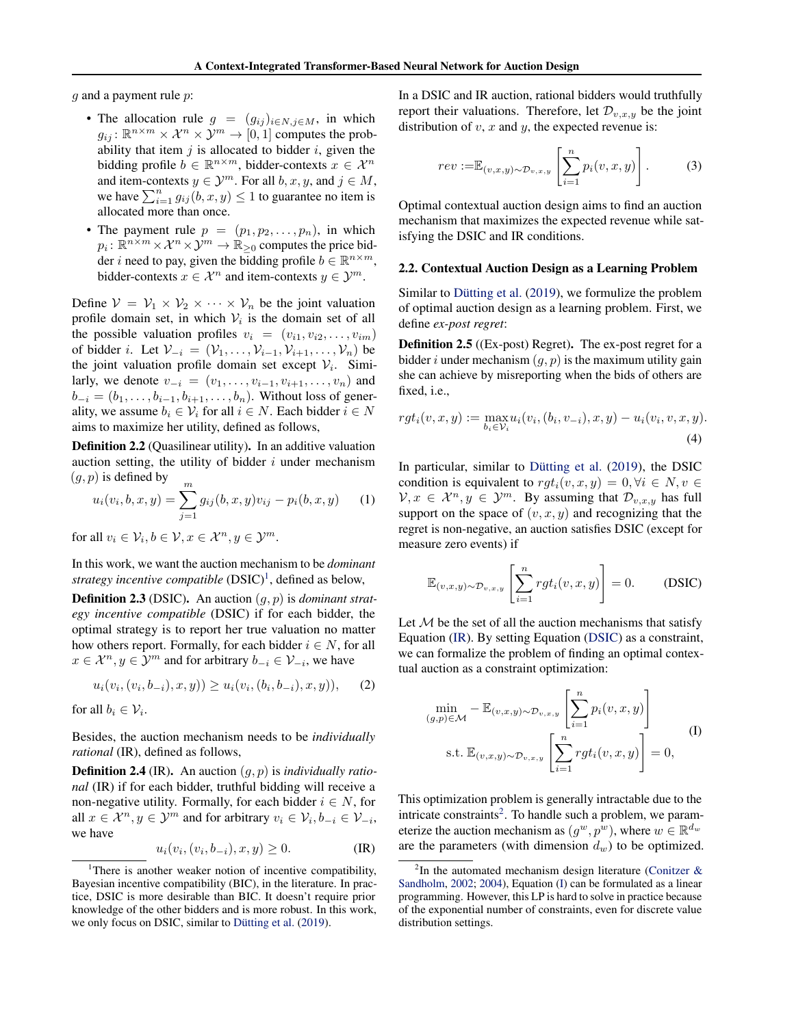$g$  and a payment rule  $p$ :

- The allocation rule  $g = (g_{ij})_{i \in N, j \in M}$ , in which  $g_{ij}$ :  $\mathbb{R}^{n \times m} \times \mathcal{X}^n \times \mathcal{Y}^m \to [0,1]$  computes the probability that item  $j$  is allocated to bidder  $i$ , given the bidding profile  $b \in \mathbb{R}^{n \times m}$ , bidder-contexts  $x \in \mathcal{X}^n$ and item-contexts  $y \in \mathcal{Y}^m$ . For all  $b, x, y$ , and  $j \in M$ , we have  $\sum_{i=1}^{n} g_{ij}(b, x, y) \le 1$  to guarantee no item is allocated more than once.
- The payment rule  $p = (p_1, p_2, \ldots, p_n)$ , in which  $p_i \colon \mathbb{R}^{n \times m} \times \mathcal{X}^n \times \mathcal{Y}^m \to \mathbb{R}_{\geq 0}$  computes the price bidder *i* need to pay, given the bidding profile  $b \in \mathbb{R}^{n \times m}$ , bidder-contexts  $x \in \mathcal{X}^n$  and item-contexts  $y \in \mathcal{Y}^m$ .

Define  $V = V_1 \times V_2 \times \cdots \times V_n$  be the joint valuation profile domain set, in which  $V_i$  is the domain set of all the possible valuation profiles  $v_i = (v_{i1}, v_{i2}, \ldots, v_{im})$ of bidder i. Let  $V_{-i} = (V_1, \ldots, V_{i-1}, V_{i+1}, \ldots, V_n)$  be the joint valuation profile domain set except  $V_i$ . Similarly, we denote  $v_{-i} = (v_1, \ldots, v_{i-1}, v_{i+1}, \ldots, v_n)$  and  $b_{-i} = (b_1, \ldots, b_{i-1}, b_{i+1}, \ldots, b_n)$ . Without loss of generality, we assume  $b_i \in \mathcal{V}_i$  for all  $i \in N$ . Each bidder  $i \in N$ aims to maximize her utility, defined as follows,

Definition 2.2 (Quasilinear utility). In an additive valuation auction setting, the utility of bidder  $i$  under mechanism  $(g, p)$  is defined by

$$
u_i(v_i, b, x, y) = \sum_{j=1}^{m} g_{ij}(b, x, y)v_{ij} - p_i(b, x, y)
$$
 (1)

for all  $v_i \in \mathcal{V}_i, b \in \mathcal{V}, x \in \mathcal{X}^n, y \in \mathcal{Y}^m$ .

In this work, we want the auction mechanism to be *dominant* strategy incentive compatible (DSIC)<sup>[1](#page-2-0)</sup>, defined as below,

Definition 2.3 (DSIC). An auction (g, p) is *dominant strategy incentive compatible* (DSIC) if for each bidder, the optimal strategy is to report her true valuation no matter how others report. Formally, for each bidder  $i \in N$ , for all  $x \in \mathcal{X}^n, y \in \mathcal{Y}^m$  and for arbitrary  $b_{-i} \in \mathcal{V}_{-i}$ , we have

$$
u_i(v_i,(v_i,b_{-i}),x,y)) \ge u_i(v_i,(b_i,b_{-i}),x,y)), \quad (2)
$$

for all  $b_i \in \mathcal{V}_i$ .

Besides, the auction mechanism needs to be *individually rational* (IR), defined as follows,

Definition 2.4 (IR). An auction (g, p) is *individually rational* (IR) if for each bidder, truthful bidding will receive a non-negative utility. Formally, for each bidder  $i \in N$ , for all  $x \in \mathcal{X}^n, y \in \mathcal{Y}^m$  and for arbitrary  $v_i \in \mathcal{V}_i, b_{-i} \in \mathcal{V}_{-i}$ , we have

<span id="page-2-1"></span>
$$
u_i(v_i, (v_i, b_{-i}), x, y) \ge 0.
$$
 (IR)

In a DSIC and IR auction, rational bidders would truthfully report their valuations. Therefore, let  $\mathcal{D}_{v,x,y}$  be the joint distribution of  $v, x$  and  $y$ , the expected revenue is:

$$
rev := \mathbb{E}_{(v,x,y)\sim\mathcal{D}_{v,x,y}}\left[\sum_{i=1}^n p_i(v,x,y)\right].\tag{3}
$$

Optimal contextual auction design aims to find an auction mechanism that maximizes the expected revenue while satisfying the DSIC and IR conditions.

#### 2.2. Contextual Auction Design as a Learning Problem

Similar to Dütting et al. [\(2019\)](#page-8-0), we formulize the problem of optimal auction design as a learning problem. First, we define *ex-post regret*:

Definition 2.5 ((Ex-post) Regret). The ex-post regret for a bidder i under mechanism  $(g, p)$  is the maximum utility gain she can achieve by misreporting when the bids of others are fixed, i.e.,

$$
rgt_i(v, x, y) := \max_{b_i \in \mathcal{V}_i} u_i(v_i, (b_i, v_{-i}), x, y) - u_i(v_i, v, x, y).
$$
\n(4)

In particular, similar to Dütting et al.  $(2019)$ , the DSIC condition is equivalent to  $rgt_i(v, x, y) = 0, \forall i \in N, v \in$  $V, x \in \mathcal{X}^n, y \in \mathcal{Y}^m$ . By assuming that  $\mathcal{D}_{v,x,y}$  has full support on the space of  $(v, x, y)$  and recognizing that the regret is non-negative, an auction satisfies DSIC (except for measure zero events) if

<span id="page-2-2"></span>
$$
\mathbb{E}_{(v,x,y)\sim\mathcal{D}_{v,x,y}}\left[\sum_{i=1}^n rgt_i(v,x,y)\right] = 0.
$$
 (DSIC)

Let  $M$  be the set of all the auction mechanisms that satisfy Equation [\(IR\)](#page-2-1). By setting Equation [\(DSIC\)](#page-2-2) as a constraint, we can formalize the problem of finding an optimal contextual auction as a constraint optimization:

$$
\min_{(g,p)\in\mathcal{M}} - \mathbb{E}_{(v,x,y)\sim\mathcal{D}_{v,x,y}} \left[ \sum_{i=1}^n p_i(v,x,y) \right]
$$
\n
$$
\text{s.t. } \mathbb{E}_{(v,x,y)\sim\mathcal{D}_{v,x,y}} \left[ \sum_{i=1}^n rgt_i(v,x,y) \right] = 0,
$$
\n
$$
(I)
$$

This optimization problem is generally intractable due to the intricate constraints<sup>[2](#page-2-3)</sup>. To handle such a problem, we parameterize the auction mechanism as  $(g^w, p^w)$ , where  $w \in \mathbb{R}^{d_w}$ are the parameters (with dimension  $d_w$ ) to be optimized.

<span id="page-2-0"></span><sup>&</sup>lt;sup>1</sup>There is another weaker notion of incentive compatibility, Bayesian incentive compatibility (BIC), in the literature. In practice, DSIC is more desirable than BIC. It doesn't require prior knowledge of the other bidders and is more robust. In this work, we only focus on DSIC, similar to Dütting et al.  $(2019)$ .

<span id="page-2-3"></span><sup>&</sup>lt;sup>2</sup>In the automated mechanism design literature (Conitzer  $\&$ [Sandholm,](#page-8-12) [2002;](#page-8-12) [2004\)](#page-8-13), Equation [\(I\)](#page-2-2) can be formulated as a linear programming. However, this LP is hard to solve in practice because of the exponential number of constraints, even for discrete value distribution settings.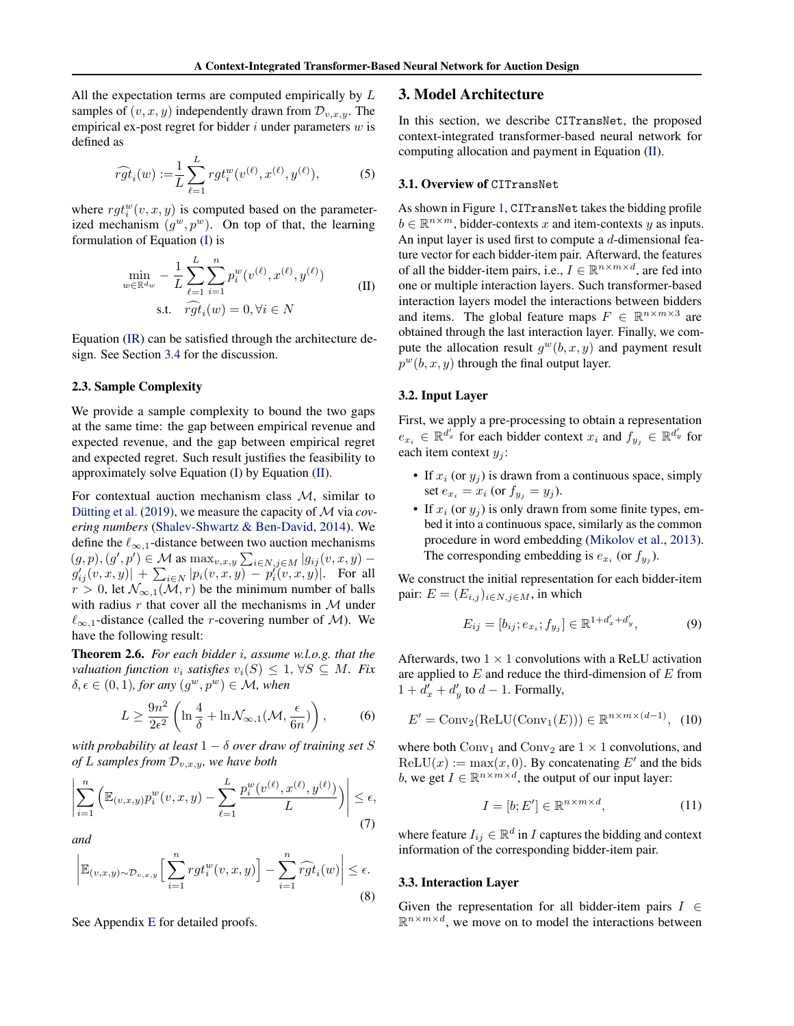All the expectation terms are computed empirically by  $L$ samples of  $(v, x, y)$  independently drawn from  $\mathcal{D}_{v,x,y}$ . The empirical ex-post regret for bidder  $i$  under parameters  $w$  is defined as

$$
\widehat{rgt}_{i}(w) := \frac{1}{L} \sum_{\ell=1}^{L} rgt_{i}^{w}(v^{(\ell)}, x^{(\ell)}, y^{(\ell)}),
$$
 (5)

where  $rgt_i^w(v, x, y)$  is computed based on the parameterized mechanism  $(g^w, p^w)$ . On top of that, the learning formulation of Equation [\(I\)](#page-2-2) is

<span id="page-3-1"></span>
$$
\min_{w \in \mathbb{R}^{d_w}} -\frac{1}{L} \sum_{\ell=1}^{L} \sum_{i=1}^{n} p_i^w(v^{(\ell)}, x^{(\ell)}, y^{(\ell)})
$$
\n
$$
\text{s.t.} \quad \widehat{rgt}_i(w) = 0, \forall i \in N
$$
\n(II)

Equation [\(IR\)](#page-2-1) can be satisfied through the architecture design. See Section [3.4](#page-4-0) for the discussion.

### <span id="page-3-3"></span>2.3. Sample Complexity

We provide a sample complexity to bound the two gaps at the same time: the gap between empirical revenue and expected revenue, and the gap between empirical regret and expected regret. Such result justifies the feasibility to approximately solve Equation [\(I\)](#page-2-2) by Equation [\(II\)](#page-3-1).

For contextual auction mechanism class M, similar to Dütting et al. [\(2019\)](#page-8-0), we measure the capacity of  $M$  via *covering numbers* [\(Shalev-Shwartz & Ben-David,](#page-9-24) [2014\)](#page-9-24). We define the  $\ell_{\infty,1}$ -distance between two auction mechanisms  $(g, p), (g', p') \in \mathcal{M}$  as  $\max_{v, x, y} \sum_{i \in N, j \in M} |g_{ij}(v, x, y) |g'_{ij}(v,x,y)| + \sum_{i \in N} |p_i(v,x,y) - p'_i(v,x,y)|$ . For all  $r > 0$ , let  $\mathcal{N}_{\infty,1}(\mathcal{M}, r)$  be the minimum number of balls with radius  $r$  that cover all the mechanisms in  $M$  under  $\ell_{\infty,1}$ -distance (called the *r*-covering number of M). We have the following result:

<span id="page-3-2"></span>Theorem 2.6. *For each bidder* i*, assume w.l.o.g. that the valuation function*  $v_i$  *satisfies*  $v_i(S) \leq 1, \forall S \subseteq M$ *. Fix*  $\delta, \epsilon \in (0, 1)$ , for any  $(g^w, p^w) \in \mathcal{M}$ , when

$$
L \ge \frac{9n^2}{2\epsilon^2} \left( \ln \frac{4}{\delta} + \ln \mathcal{N}_{\infty,1}(\mathcal{M}, \frac{\epsilon}{6n}) \right),\tag{6}
$$

*with probability at least* 1 − δ *over draw of training set* S *of* L samples from  $\mathcal{D}_{v,x,y}$ , we have both

$$
\left| \sum_{i=1}^{n} \left( \mathbb{E}_{(v,x,y)} p_i^w(v,x,y) - \sum_{\ell=1}^{L} \frac{p_i^w(v^{(\ell)}, x^{(\ell)}, y^{(\ell)})}{L} \right) \right| \le \epsilon,
$$
\n(7)

<span id="page-3-5"></span>*and*

$$
\left| \mathbb{E}_{(v,x,y)\sim\mathcal{D}_{v,x,y}} \Big[\sum_{i=1}^n rgt_i^w(v,x,y)\Big] - \sum_{i=1}^n \widehat{rgt}_i(w) \right| \le \epsilon.
$$
\n(8)

See Appendix [E](#page-13-0) for detailed proofs.

#### <span id="page-3-0"></span>3. Model Architecture

In this section, we describe CITransNet, the proposed context-integrated transformer-based neural network for computing allocation and payment in Equation [\(II\)](#page-3-1).

#### 3.1. Overview of CITransNet

As shown in Figure [1,](#page-4-1) CITransNet takes the bidding profile  $b \in \mathbb{R}^{n \times m}$ , bidder-contexts x and item-contexts y as inputs. An input layer is used first to compute a d-dimensional feature vector for each bidder-item pair. Afterward, the features of all the bidder-item pairs, i.e.,  $I \in \mathbb{R}^{n \times m \times d}$ , are fed into one or multiple interaction layers. Such transformer-based interaction layers model the interactions between bidders and items. The global feature maps  $F \in \mathbb{R}^{n \times m \times 3}$  are obtained through the last interaction layer. Finally, we compute the allocation result  $g^w(b, x, y)$  and payment result  $p^{w}(b, x, y)$  through the final output layer.

#### 3.2. Input Layer

First, we apply a pre-processing to obtain a representation  $e_{x_i} \in \mathbb{R}^{d'_x}$  for each bidder context  $x_i$  and  $f_{y_j} \in \mathbb{R}^{d'_y}$  for each item context  $y_i$ :

- If  $x_i$  (or  $y_j$ ) is drawn from a continuous space, simply set  $e_{x_i} = x_i$  (or  $f_{y_j} = y_j$ ).
- If  $x_i$  (or  $y_i$ ) is only drawn from some finite types, embed it into a continuous space, similarly as the common procedure in word embedding [\(Mikolov et al.,](#page-9-25) [2013\)](#page-9-25). The corresponding embedding is  $e_{x_i}$  (or  $f_{y_j}$ ).

We construct the initial representation for each bidder-item pair:  $E = (E_{i,j})_{i \in N, j \in M}$ , in which

$$
E_{ij} = [b_{ij}; e_{x_i}; f_{y_j}] \in \mathbb{R}^{1+d'_x + d'_y}, \tag{9}
$$

Afterwards, two  $1 \times 1$  convolutions with a ReLU activation are applied to  $E$  and reduce the third-dimension of  $E$  from  $1 + d'_x + d'_y$  to  $d - 1$ . Formally,

$$
E' = \text{Conv}_2(\text{ReLU}(\text{Conv}_1(E))) \in \mathbb{R}^{n \times m \times (d-1)}, (10)
$$

<span id="page-3-4"></span>where both  $Conv_1$  and  $Conv_2$  are  $1 \times 1$  convolutions, and  $ReLU(x) := max(x, 0)$ . By concatenating E' and the bids b, we get  $I \in \mathbb{R}^{n \times m \times d}$ , the output of our input layer:

$$
I = [b; E'] \in \mathbb{R}^{n \times m \times d},\tag{11}
$$

where feature  $I_{ij} \in \mathbb{R}^d$  in *I* captures the bidding and context information of the corresponding bidder-item pair.

### 3.3. Interaction Layer

Given the representation for all bidder-item pairs  $I \in$  $\mathbb{R}^{n \times m \times d}$ , we move on to model the interactions between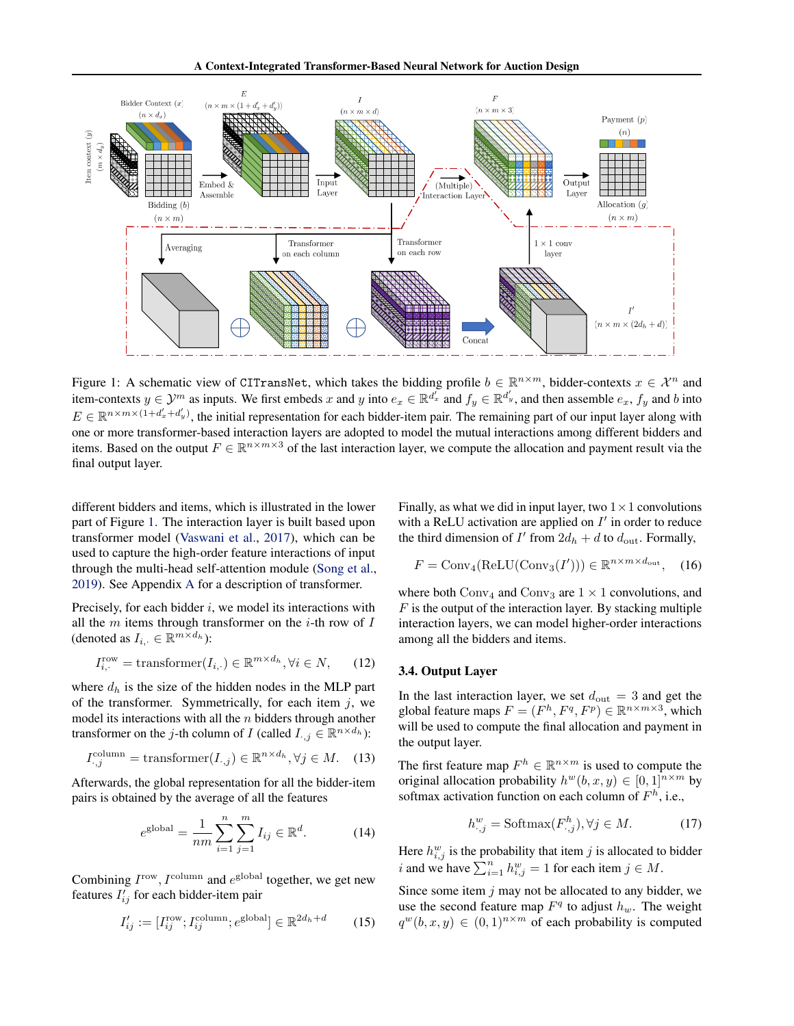<span id="page-4-1"></span>

Figure 1: A schematic view of CITransNet, which takes the bidding profile  $b \in \mathbb{R}^{n \times m}$ , bidder-contexts  $x \in \mathcal{X}^n$  and item-contexts  $y \in \mathcal{Y}^m$  as inputs. We first embeds x and y into  $e_x \in \mathbb{R}^{d'_x}$  and  $f_y \in \mathbb{R}^{d'_y}$ , and then assemble  $e_x$ ,  $f_y$  and b into  $E \in \mathbb{R}^{n \times m \times (1+d'_x+d'_y)}$ , the initial representation for each bidder-item pair. The remaining part of our input layer along with one or more transformer-based interaction layers are adopted to model the mutual interactions among different bidders and items. Based on the output  $F \in \mathbb{R}^{n \times m \times 3}$  of the last interaction layer, we compute the allocation and payment result via the final output layer.

different bidders and items, which is illustrated in the lower part of Figure [1.](#page-4-1) The interaction layer is built based upon transformer model [\(Vaswani et al.,](#page-10-1) [2017\)](#page-10-1), which can be used to capture the high-order feature interactions of input through the multi-head self-attention module [\(Song et al.,](#page-10-5) [2019\)](#page-10-5). See Appendix [A](#page-11-0) for a description of transformer.

Precisely, for each bidder  $i$ , we model its interactions with all the  $m$  items through transformer on the *i*-th row of  $I$ (denoted as  $I_{i, \cdot} \in \mathbb{R}^{m \times d_h}$ ):

$$
I_{i,\cdot}^{\text{row}} = \text{transformer}(I_{i,\cdot}) \in \mathbb{R}^{m \times d_h}, \forall i \in N,\qquad(12)
$$

where  $d_h$  is the size of the hidden nodes in the MLP part of the transformer. Symmetrically, for each item  $j$ , we model its interactions with all the  $n$  bidders through another transformer on the *j*-th column of *I* (called  $I_{\cdot,j} \in \mathbb{R}^{n \times d_h}$ ):

$$
I_{\cdot,j}^{\text{column}} = \text{transformer}(I_{\cdot,j}) \in \mathbb{R}^{n \times d_h}, \forall j \in M. \quad (13)
$$

Afterwards, the global representation for all the bidder-item pairs is obtained by the average of all the features

$$
e^{\text{global}} = \frac{1}{nm} \sum_{i=1}^{n} \sum_{j=1}^{m} I_{ij} \in \mathbb{R}^{d}.
$$
 (14)

Combining  $I^{\text{row}}$ ,  $I^{\text{column}}$  and  $e^{\text{global}}$  together, we get new features  $I'_{ij}$  for each bidder-item pair

$$
I'_{ij} := [I_{ij}^{\text{row}}, I_{ij}^{\text{column}}; e^{\text{global}}] \in \mathbb{R}^{2d_h + d} \tag{15}
$$

Finally, as what we did in input layer, two  $1 \times 1$  convolutions with a ReLU activation are applied on  $I'$  in order to reduce the third dimension of  $I'$  from  $2d_h + d$  to  $d_{\text{out}}$ . Formally,

$$
F = \text{Conv}_4(\text{ReLU}(\text{Conv}_3(I'))) \in \mathbb{R}^{n \times m \times d_{\text{out}}}, \quad (16)
$$

where both  $Conv_4$  and  $Conv_3$  are  $1 \times 1$  convolutions, and  $F$  is the output of the interaction layer. By stacking multiple interaction layers, we can model higher-order interactions among all the bidders and items.

#### <span id="page-4-0"></span>3.4. Output Layer

In the last interaction layer, we set  $d_{\text{out}} = 3$  and get the global feature maps  $F = (F^h, F^q, F^p) \in \mathbb{R}^{n \times m \times 3}$ , which will be used to compute the final allocation and payment in the output layer.

The first feature map  $F^h \in \mathbb{R}^{n \times m}$  is used to compute the original allocation probability  $h^{w}(b, x, y) \in [0, 1]^{n \times m}$  by softmax activation function on each column of  $F<sup>h</sup>$ , i.e.,

$$
h_{\cdot,j}^w = \text{Softmax}(F_{\cdot,j}^h), \forall j \in M. \tag{17}
$$

Here  $h_{i,j}^w$  is the probability that item j is allocated to bidder i and we have  $\sum_{i=1}^{n} h_{i,j}^w = 1$  for each item  $j \in M$ .

Since some item  $j$  may not be allocated to any bidder, we use the second feature map  $F<sup>q</sup>$  to adjust  $h<sub>w</sub>$ . The weight  $q^w(b, x, y) \in (0, 1)^{n \times m}$  of each probability is computed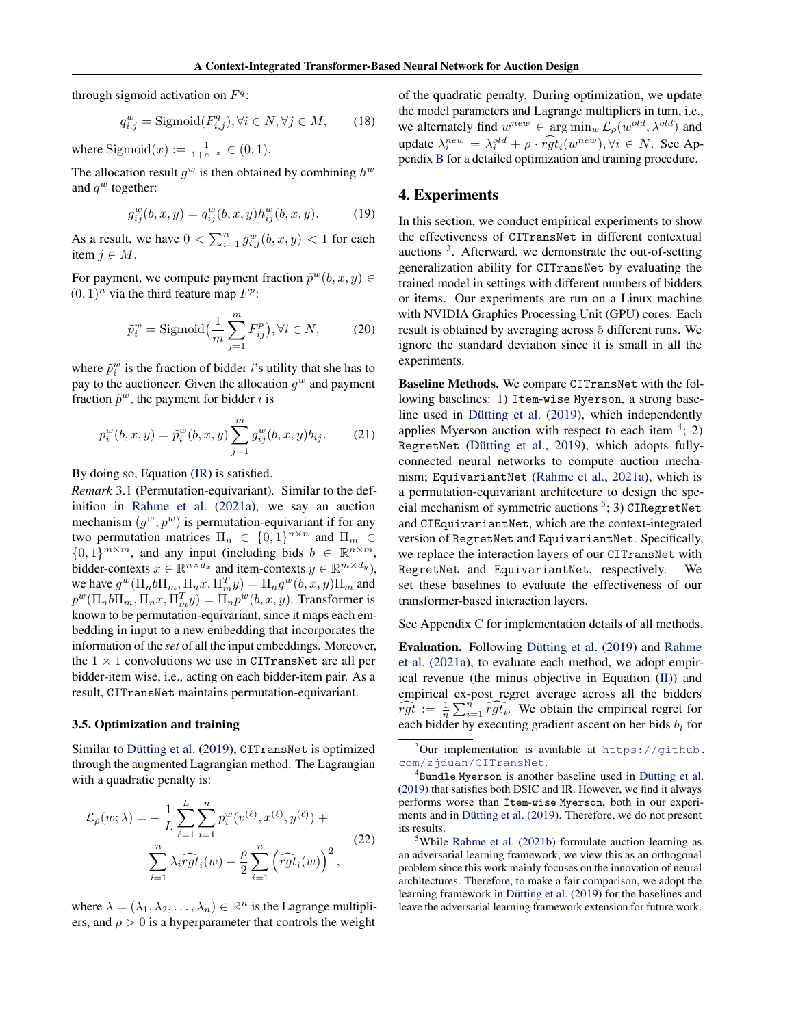through sigmoid activation on  $F<sup>q</sup>$ :

$$
q_{i,j}^w = \text{Sigmoid}(F_{i,j}^q), \forall i \in N, \forall j \in M,
$$
 (18)

where  $\text{Sigmoid}(x) := \frac{1}{1 + e^{-x}} \in (0, 1)$ .

The allocation result  $g^w$  is then obtained by combining  $h^w$ and  $q^w$  together:

$$
g_{ij}^{w}(b,x,y) = q_{ij}^{w}(b,x,y)h_{ij}^{w}(b,x,y).
$$
 (19)

As a result, we have  $0 < \sum_{i=1}^{n} g_{i,j}^{w}(b, x, y) < 1$  for each item  $j \in M$ .

For payment, we compute payment fraction  $\tilde{p}^w(b, x, y) \in$  $(0, 1)^n$  via the third feature map  $F^p$ :

$$
\tilde{p}_i^w = \text{Sigmoid}\left(\frac{1}{m}\sum_{j=1}^m F_{ij}^p\right), \forall i \in N,\tag{20}
$$

where  $\tilde{p}_i^w$  is the fraction of bidder i's utility that she has to pay to the auctioneer. Given the allocation  $g^w$  and payment fraction  $\tilde{p}^w$ , the payment for bidder *i* is

$$
p_i^w(b, x, y) = \tilde{p}_i^w(b, x, y) \sum_{j=1}^m g_{ij}^w(b, x, y) b_{ij}.
$$
 (21)

By doing so, Equation [\(IR\)](#page-2-1) is satisfied.

<span id="page-5-0"></span>*Remark* 3.1 (Permutation-equivariant)*.* Similar to the definition in [Rahme et al.](#page-9-10) [\(2021a\)](#page-9-10), we say an auction mechanism  $(g^w, p^w)$  is permutation-equivariant if for any two permutation matrices  $\Pi_n \in \{0,1\}^{n \times n}$  and  $\Pi_m \in$  ${0,1}^{m \times m}$ , and any input (including bids  $b \in \mathbb{R}^{n \times m}$ , bidder-contexts  $x \in \mathbb{R}^{n \times d_x}$  and item-contexts  $y \in \mathbb{R}^{m \times d_y}$ ), we have  $g^w(\Pi_n b\Pi_m, \Pi_n x, \Pi_m^T y) = \Pi_n g^w(b, x, y) \Pi_m$  and  $p^w(\Pi_n b\Pi_m, \Pi_n x, \Pi_m^T y) = \Pi_n p^w(b, x, y)$ . Transformer is known to be permutation-equivariant, since it maps each embedding in input to a new embedding that incorporates the information of the *set* of all the input embeddings. Moreover, the  $1 \times 1$  convolutions we use in CITransNet are all per bidder-item wise, i.e., acting on each bidder-item pair. As a result, CITransNet maintains permutation-equivariant.

### 3.5. Optimization and training

Similar to Dütting et al. [\(2019\)](#page-8-0), CITransNet is optimized through the augmented Lagrangian method. The Lagrangian with a quadratic penalty is:

<span id="page-5-4"></span>
$$
\mathcal{L}_{\rho}(w; \lambda) = -\frac{1}{L} \sum_{\ell=1}^{L} \sum_{i=1}^{n} p_{i}^{w}(v^{(\ell)}, x^{(\ell)}, y^{(\ell)}) + \sum_{i=1}^{n} \lambda_{i} \widehat{rgt}_{i}(w) + \frac{\rho}{2} \sum_{i=1}^{n} (\widehat{rgt}_{i}(w))^{2},
$$
\n(22)

where  $\lambda = (\lambda_1, \lambda_2, \dots, \lambda_n) \in \mathbb{R}^n$  is the Lagrange multipliers, and  $\rho > 0$  is a hyperparameter that controls the weight

of the quadratic penalty. During optimization, we update the model parameters and Lagrange multipliers in turn, i.e., we alternately find  $w^{new} \in \arg\min_{w} \mathcal{L}_{\rho}(w^{old}, \lambda^{old})$  and update  $\lambda_i^{new} = \lambda_i^{old} + \rho \cdot \widehat{rgt}_i(w^{new}), \forall i \in N$ . See Appendix [B](#page-11-1) for a detailed optimization and training procedure.

# 4. Experiments

In this section, we conduct empirical experiments to show the effectiveness of CITransNet in different contextual auctions<sup>[3](#page-5-1)</sup>. Afterward, we demonstrate the out-of-setting generalization ability for CITransNet by evaluating the trained model in settings with different numbers of bidders or items. Our experiments are run on a Linux machine with NVIDIA Graphics Processing Unit (GPU) cores. Each result is obtained by averaging across 5 different runs. We ignore the standard deviation since it is small in all the experiments.

Baseline Methods. We compare CITransNet with the following baselines: 1) Item-wise Myerson, a strong baseline used in Dütting et al.  $(2019)$ , which independently applies Myerson auction with respect to each item  $4$ ; 2) RegretNet (Dütting et al., [2019\)](#page-8-0), which adopts fullyconnected neural networks to compute auction mechanism; EquivariantNet [\(Rahme et al.,](#page-9-10) [2021a\)](#page-9-10), which is a permutation-equivariant architecture to design the spe-cial mechanism of symmetric auctions<sup>[5](#page-5-3)</sup>; 3) CIRegretNet and CIEquivariantNet, which are the context-integrated version of RegretNet and EquivariantNet. Specifically, we replace the interaction layers of our CITransNet with RegretNet and EquivariantNet, respectively. We set these baselines to evaluate the effectiveness of our transformer-based interaction layers.

See Appendix [C](#page-12-0) for implementation details of all methods.

Evaluation. Following Dütting et al. [\(2019\)](#page-8-0) and [Rahme](#page-9-10) [et al.](#page-9-10) [\(2021a\)](#page-9-10), to evaluate each method, we adopt empirical revenue (the minus objective in Equation [\(II\)](#page-3-1)) and empirical ex-post regret average across all the bidders  $\widehat{rgt} := \frac{1}{n} \sum_{i=1}^{n} \widehat{rgt_i}$ . We obtain the empirical regret for each bidder by executing gradient ascent on her bids  $b_i$  for

<span id="page-5-1"></span> $3$ Our implementation is available at [https://github.](https://github.com/zjduan/CITransNet) [com/zjduan/CITransNet](https://github.com/zjduan/CITransNet).

<span id="page-5-2"></span><sup>&</sup>lt;sup>4</sup>Bundle Myerson is another baseline used in Dütting et al. [\(2019\)](#page-8-0) that satisfies both DSIC and IR. However, we find it always performs worse than Item-wise Myerson, both in our experi-ments and in Dütting et al. [\(2019\)](#page-8-0). Therefore, we do not present its results.

<span id="page-5-3"></span><sup>&</sup>lt;sup>5</sup>While [Rahme et al.](#page-9-9) [\(2021b\)](#page-9-9) formulate auction learning as an adversarial learning framework, we view this as an orthogonal problem since this work mainly focuses on the innovation of neural architectures. Therefore, to make a fair comparison, we adopt the learning framework in Dütting et al.  $(2019)$  for the baselines and leave the adversarial learning framework extension for future work.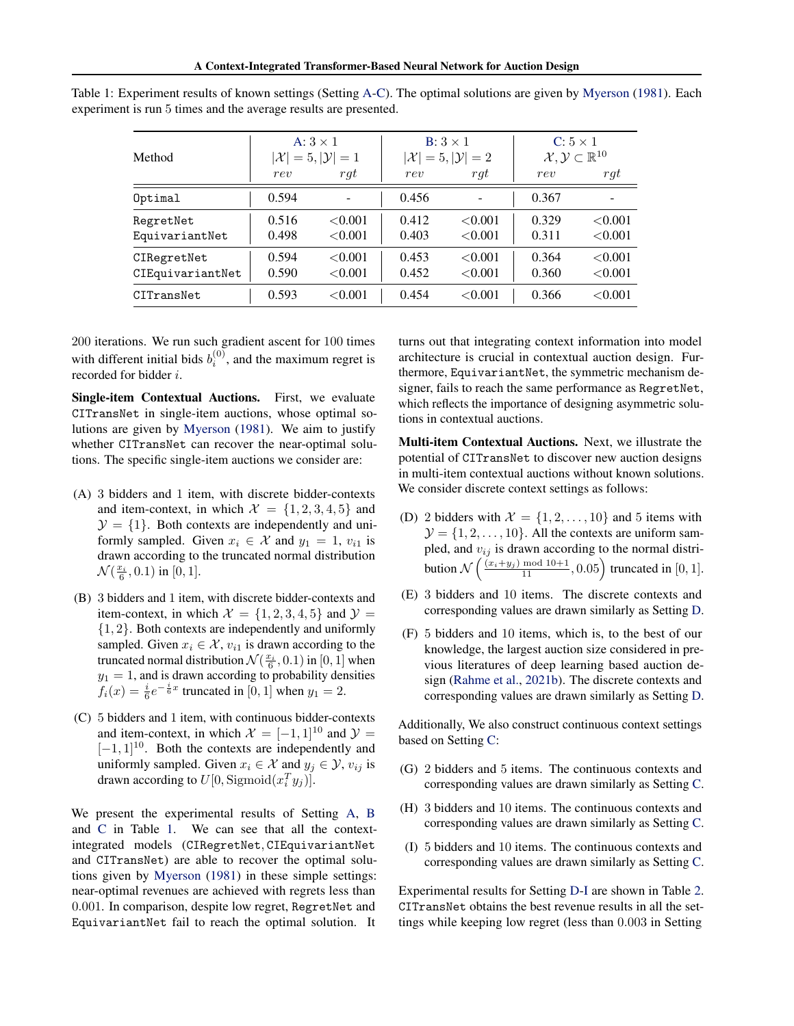| Method                          |                | A: $3 \times 1$<br>$ \mathcal{X}  = 5,  \mathcal{Y}  = 1$ |                | $B: 3 \times 1$<br>$ \mathcal{X}  = 5,  \mathcal{Y}  = 2$ | $C: 5 \times 1$<br>$\mathcal{X}, \mathcal{Y} \subset \mathbb{R}^{10}$ |                       |  |
|---------------------------------|----------------|-----------------------------------------------------------|----------------|-----------------------------------------------------------|-----------------------------------------------------------------------|-----------------------|--|
|                                 | rev            | rqt                                                       | rev            | rqt                                                       | rev                                                                   | rqt                   |  |
| Optimal                         | 0.594          |                                                           | 0.456          |                                                           | 0.367                                                                 |                       |  |
| RegretNet<br>EquivariantNet     | 0.516<br>0.498 | < 0.001<br>< 0.001                                        | 0.412<br>0.403 | < 0.001<br>< 0.001                                        | 0.329<br>0.311                                                        | < 0.001<br>< 0.001    |  |
| CIRegretNet<br>CIEquivariantNet | 0.594<br>0.590 | < 0.001<br>< 0.001                                        | 0.453<br>0.452 | < 0.001<br>< 0.001                                        | 0.364<br>0.360                                                        | < 0.001<br>${<}0.001$ |  |
| CITransNet                      | 0.593          | < 0.001                                                   | 0.454          | < 0.001                                                   | 0.366                                                                 | ${<}0.001$            |  |

<span id="page-6-0"></span>Table 1: Experiment results of known settings (Setting [A](#page-6-1)[-C\)](#page-6-2). The optimal solutions are given by [Myerson](#page-9-3) [\(1981\)](#page-9-3). Each experiment is run 5 times and the average results are presented.

200 iterations. We run such gradient ascent for 100 times with different initial bids  $b_i^{(0)}$ , and the maximum regret is recorded for bidder i.

Single-item Contextual Auctions. First, we evaluate CITransNet in single-item auctions, whose optimal solutions are given by [Myerson](#page-9-3) [\(1981\)](#page-9-3). We aim to justify whether CITransNet can recover the near-optimal solutions. The specific single-item auctions we consider are:

- <span id="page-6-1"></span>(A) 3 bidders and 1 item, with discrete bidder-contexts and item-context, in which  $\mathcal{X} = \{1, 2, 3, 4, 5\}$  and  $\mathcal{Y} = \{1\}$ . Both contexts are independently and uniformly sampled. Given  $x_i \in \mathcal{X}$  and  $y_1 = 1$ ,  $v_{i1}$  is drawn according to the truncated normal distribution  $\mathcal{N}(\frac{x_i}{6}, 0.1)$  in [0, 1].
- <span id="page-6-3"></span>(B) 3 bidders and 1 item, with discrete bidder-contexts and item-context, in which  $\mathcal{X} = \{1, 2, 3, 4, 5\}$  and  $\mathcal{Y} =$ {1, 2}. Both contexts are independently and uniformly sampled. Given  $x_i \in \mathcal{X}$ ,  $v_{i1}$  is drawn according to the truncated normal distribution  $\mathcal{N}(\frac{x_i}{6}, 0.1)$  in  $[0, 1]$  when  $y_1 = 1$ , and is drawn according to probability densities  $f_i(x) = \frac{i}{6}e^{-\frac{i}{6}x}$  truncated in [0, 1] when  $y_1 = 2$ .
- <span id="page-6-2"></span>(C) 5 bidders and 1 item, with continuous bidder-contexts and item-context, in which  $\mathcal{X} = [-1, 1]^{10}$  and  $\mathcal{Y} =$  $[-1, 1]^{10}$ . Both the contexts are independently and uniformly sampled. Given  $x_i \in \mathcal{X}$  and  $y_i \in \mathcal{Y}$ ,  $v_{ij}$  is drawn according to  $U[0, \text{Sigmoid}(x_i^T y_j)].$

We present the experimental results of Setting [A,](#page-6-1) [B](#page-6-3) and [C](#page-6-2) in Table [1.](#page-6-0) We can see that all the contextintegrated models (CIRegretNet, CIEquivariantNet and CITransNet) are able to recover the optimal solutions given by [Myerson](#page-9-3) [\(1981\)](#page-9-3) in these simple settings: near-optimal revenues are achieved with regrets less than 0.001. In comparison, despite low regret, RegretNet and EquivariantNet fail to reach the optimal solution. It

turns out that integrating context information into model architecture is crucial in contextual auction design. Furthermore, EquivariantNet, the symmetric mechanism designer, fails to reach the same performance as RegretNet, which reflects the importance of designing asymmetric solutions in contextual auctions.

Multi-item Contextual Auctions. Next, we illustrate the potential of CITransNet to discover new auction designs in multi-item contextual auctions without known solutions. We consider discrete context settings as follows:

- <span id="page-6-4"></span>(D) 2 bidders with  $\mathcal{X} = \{1, 2, \ldots, 10\}$  and 5 items with  $\mathcal{Y} = \{1, 2, \ldots, 10\}$ . All the contexts are uniform sampled, and  $v_{ij}$  is drawn according to the normal distribution  $\mathcal{N}\left(\frac{(x_i+y_j) \mod 10+1}{11}, 0.05\right)$  truncated in [0, 1].
- <span id="page-6-6"></span>(E) 3 bidders and 10 items. The discrete contexts and corresponding values are drawn similarly as Setting [D.](#page-6-4)
- <span id="page-6-7"></span>(F) 5 bidders and 10 items, which is, to the best of our knowledge, the largest auction size considered in previous literatures of deep learning based auction design [\(Rahme et al.,](#page-9-9) [2021b\)](#page-9-9). The discrete contexts and corresponding values are drawn similarly as Setting [D.](#page-6-4)

Additionally, We also construct continuous context settings based on Setting [C:](#page-6-2)

- <span id="page-6-8"></span>(G) 2 bidders and 5 items. The continuous contexts and corresponding values are drawn similarly as Setting [C.](#page-6-2)
- <span id="page-6-9"></span>(H) 3 bidders and 10 items. The continuous contexts and corresponding values are drawn similarly as Setting [C.](#page-6-2)
- <span id="page-6-5"></span>(I) 5 bidders and 10 items. The continuous contexts and corresponding values are drawn similarly as Setting [C.](#page-6-2)

Experimental results for Setting [D](#page-6-4)[-I](#page-6-5) are shown in Table [2.](#page-7-1) CITransNet obtains the best revenue results in all the settings while keeping low regret (less than 0.003 in Setting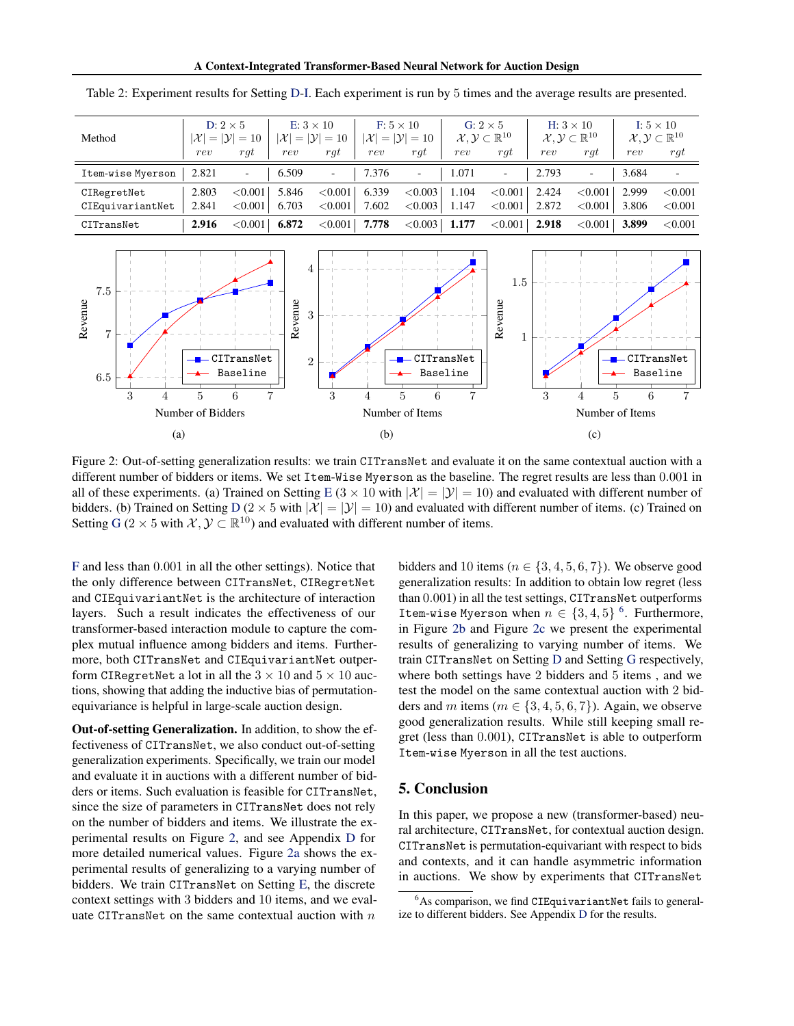| Method            | D: $2 \times 5$<br>$\mathcal{Y}$<br>$ \mathcal{X} $<br>$=10$<br>$=$ |            | $E: 3 \times 10$<br>$ \mathcal{X}  =  \mathcal{Y}  = 10$ |                          | $F: 5 \times 10$<br>$ \mathcal{X}  =  \mathcal{Y}  = 10$ |                          | G: $2 \times 5$<br>$\mathcal{X}, \mathcal{Y} \subset \mathbb{R}^{10}$ |                          | H: $3 \times 10$<br>$\mathcal{X}, \mathcal{Y} \subset \mathbb{R}^{10}$ |                          | I: $5 \times 10$<br>$\mathcal{X}, \mathcal{Y} \subset \mathbb{R}^{10}$ |         |
|-------------------|---------------------------------------------------------------------|------------|----------------------------------------------------------|--------------------------|----------------------------------------------------------|--------------------------|-----------------------------------------------------------------------|--------------------------|------------------------------------------------------------------------|--------------------------|------------------------------------------------------------------------|---------|
|                   | rev                                                                 | rqt        | rev                                                      | rqt                      | rev                                                      | rqt                      | rev                                                                   | rqt                      | rev                                                                    | rgt                      | rev                                                                    | $\eta$  |
| Item-wise Myerson | 2.821                                                               | -          | 6.509                                                    | $\overline{\phantom{a}}$ | 7.376                                                    | $\overline{\phantom{0}}$ | 1.071                                                                 | $\overline{\phantom{a}}$ | 2.793                                                                  | $\overline{\phantom{0}}$ | 3.684                                                                  | -       |
| CIRegretNet       | 2.803                                                               | < 0.001    | 5.846                                                    | ${<}0.001$               | 6.339                                                    | < 0.003                  | 1.104                                                                 | < 0.001                  | 2.424                                                                  | < 0.001                  | 2.999                                                                  | < 0.001 |
| CIEquivariantNet  | 2.841                                                               | < 0.001    | 6.703                                                    | ${<}0.001$               | 7.602                                                    | < 0.003                  | 1.147                                                                 | ${<}0.001$               | 2.872                                                                  | < 0.001                  | 3.806                                                                  | < 0.001 |
| CITransNet        | 2.916                                                               | ${<}0.001$ | 6.872                                                    | ${<}0.001$               | 7.778                                                    | < 0.003                  | 1.177                                                                 | ${<}0.001$               | 2.918                                                                  | < 0.001                  | 3.899                                                                  | < 0.001 |

<span id="page-7-1"></span>Table 2: Experiment results for Setting [D](#page-6-4)[-I.](#page-6-5) Each experiment is run by 5 times and the average results are presented.

<span id="page-7-2"></span>

Figure 2: Out-of-setting generalization results: we train CITransNet and evaluate it on the same contextual auction with a different number of bidders or items. We set Item-Wise Myerson as the baseline. The regret results are less than 0.001 in all of these experiments. (a) Trained on Setting [E](#page-6-6) ( $3 \times 10$  with  $|\mathcal{X}| = |\mathcal{Y}| = 10$ ) and evaluated with different number of bidders. (b) Trained on Setting [D](#page-6-4) (2  $\times$  5 with  $|\mathcal{X}| = |\mathcal{Y}| = 10$ ) and evaluated with different number of items. (c) Trained on Setting [G](#page-6-8) (2 × 5 with  $X, Y \subset \mathbb{R}^{10}$ ) and evaluated with different number of items.

[F](#page-6-7) and less than 0.001 in all the other settings). Notice that the only difference between CITransNet, CIRegretNet and CIEquivariantNet is the architecture of interaction layers. Such a result indicates the effectiveness of our transformer-based interaction module to capture the complex mutual influence among bidders and items. Furthermore, both CITransNet and CIEquivariantNet outperform CIRegretNet a lot in all the  $3 \times 10$  and  $5 \times 10$  auctions, showing that adding the inductive bias of permutationequivariance is helpful in large-scale auction design.

Out-of-setting Generalization. In addition, to show the effectiveness of CITransNet, we also conduct out-of-setting generalization experiments. Specifically, we train our model and evaluate it in auctions with a different number of bidders or items. Such evaluation is feasible for CITransNet, since the size of parameters in CITransNet does not rely on the number of bidders and items. We illustrate the experimental results on Figure [2,](#page-7-2) and see Appendix [D](#page-13-1) for more detailed numerical values. Figure [2a](#page-7-2) shows the experimental results of generalizing to a varying number of bidders. We train CITransNet on Setting [E,](#page-6-6) the discrete context settings with 3 bidders and 10 items, and we evaluate CITransNet on the same contextual auction with  $n$ 

bidders and 10 items ( $n \in \{3, 4, 5, 6, 7\}$ ). We observe good generalization results: In addition to obtain low regret (less than 0.001) in all the test settings, CITransNet outperforms Item-wise Myerson when  $n \in \{3, 4, 5\}$  <sup>[6](#page-7-3)</sup>. Furthermore, in Figure [2b](#page-7-2) and Figure [2c](#page-7-2) we present the experimental results of generalizing to varying number of items. We train CITransNet on Setting [D](#page-6-4) and Setting [G](#page-6-8) respectively, where both settings have 2 bidders and 5 items , and we test the model on the same contextual auction with 2 bidders and m items ( $m \in \{3, 4, 5, 6, 7\}$ ). Again, we observe good generalization results. While still keeping small regret (less than 0.001), CITransNet is able to outperform Item-wise Myerson in all the test auctions.

### <span id="page-7-0"></span>5. Conclusion

In this paper, we propose a new (transformer-based) neural architecture, CITransNet, for contextual auction design. CITransNet is permutation-equivariant with respect to bids and contexts, and it can handle asymmetric information in auctions. We show by experiments that CITransNet

<span id="page-7-3"></span> $6$ As comparison, we find CIEquivariantNet fails to generalize to different bidders. See Appendix [D](#page-13-1) for the results.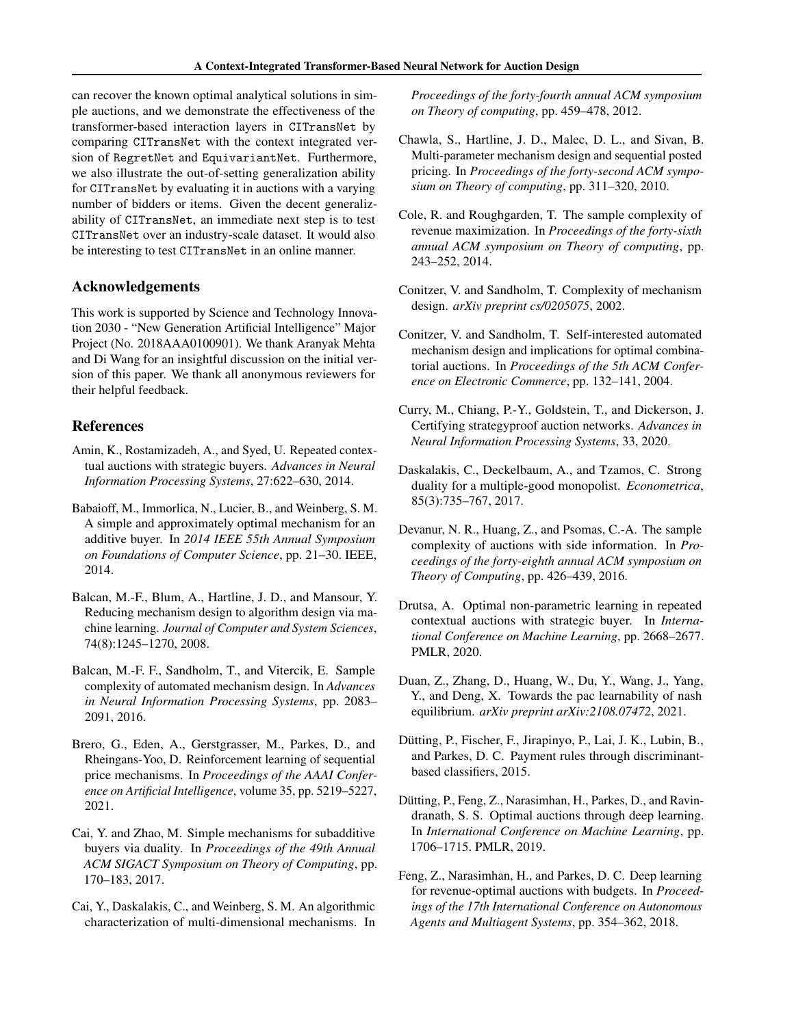can recover the known optimal analytical solutions in simple auctions, and we demonstrate the effectiveness of the transformer-based interaction layers in CITransNet by comparing CITransNet with the context integrated version of RegretNet and EquivariantNet. Furthermore, we also illustrate the out-of-setting generalization ability for CITransNet by evaluating it in auctions with a varying number of bidders or items. Given the decent generalizability of CITransNet, an immediate next step is to test CITransNet over an industry-scale dataset. It would also be interesting to test CITransNet in an online manner.

# Acknowledgements

This work is supported by Science and Technology Innovation 2030 - "New Generation Artificial Intelligence" Major Project (No. 2018AAA0100901). We thank Aranyak Mehta and Di Wang for an insightful discussion on the initial version of this paper. We thank all anonymous reviewers for their helpful feedback.

# References

- <span id="page-8-16"></span>Amin, K., Rostamizadeh, A., and Syed, U. Repeated contextual auctions with strategic buyers. *Advances in Neural Information Processing Systems*, 27:622–630, 2014.
- <span id="page-8-5"></span>Babaioff, M., Immorlica, N., Lucier, B., and Weinberg, S. M. A simple and approximately optimal mechanism for an additive buyer. In *2014 IEEE 55th Annual Symposium on Foundations of Computer Science*, pp. 21–30. IEEE, 2014.
- <span id="page-8-7"></span>Balcan, M.-F., Blum, A., Hartline, J. D., and Mansour, Y. Reducing mechanism design to algorithm design via machine learning. *Journal of Computer and System Sciences*, 74(8):1245–1270, 2008.
- <span id="page-8-11"></span>Balcan, M.-F. F., Sandholm, T., and Vitercik, E. Sample complexity of automated mechanism design. In *Advances in Neural Information Processing Systems*, pp. 2083– 2091, 2016.
- <span id="page-8-1"></span>Brero, G., Eden, A., Gerstgrasser, M., Parkes, D., and Rheingans-Yoo, D. Reinforcement learning of sequential price mechanisms. In *Proceedings of the AAAI Conference on Artificial Intelligence*, volume 35, pp. 5219–5227, 2021.
- <span id="page-8-6"></span>Cai, Y. and Zhao, M. Simple mechanisms for subadditive buyers via duality. In *Proceedings of the 49th Annual ACM SIGACT Symposium on Theory of Computing*, pp. 170–183, 2017.
- <span id="page-8-4"></span>Cai, Y., Daskalakis, C., and Weinberg, S. M. An algorithmic characterization of multi-dimensional mechanisms. In

*Proceedings of the forty-fourth annual ACM symposium on Theory of computing*, pp. 459–478, 2012.

- <span id="page-8-3"></span>Chawla, S., Hartline, J. D., Malec, D. L., and Sivan, B. Multi-parameter mechanism design and sequential posted pricing. In *Proceedings of the forty-second ACM symposium on Theory of computing*, pp. 311–320, 2010.
- <span id="page-8-9"></span>Cole, R. and Roughgarden, T. The sample complexity of revenue maximization. In *Proceedings of the forty-sixth annual ACM symposium on Theory of computing*, pp. 243–252, 2014.
- <span id="page-8-12"></span>Conitzer, V. and Sandholm, T. Complexity of mechanism design. *arXiv preprint cs/0205075*, 2002.
- <span id="page-8-13"></span>Conitzer, V. and Sandholm, T. Self-interested automated mechanism design and implications for optimal combinatorial auctions. In *Proceedings of the 5th ACM Conference on Electronic Commerce*, pp. 132–141, 2004.
- <span id="page-8-15"></span>Curry, M., Chiang, P.-Y., Goldstein, T., and Dickerson, J. Certifying strategyproof auction networks. *Advances in Neural Information Processing Systems*, 33, 2020.
- <span id="page-8-2"></span>Daskalakis, C., Deckelbaum, A., and Tzamos, C. Strong duality for a multiple-good monopolist. *Econometrica*, 85(3):735–767, 2017.
- <span id="page-8-10"></span>Devanur, N. R., Huang, Z., and Psomas, C.-A. The sample complexity of auctions with side information. In *Proceedings of the forty-eighth annual ACM symposium on Theory of Computing*, pp. 426–439, 2016.
- <span id="page-8-17"></span>Drutsa, A. Optimal non-parametric learning in repeated contextual auctions with strategic buyer. In *International Conference on Machine Learning*, pp. 2668–2677. PMLR, 2020.
- <span id="page-8-18"></span>Duan, Z., Zhang, D., Huang, W., Du, Y., Wang, J., Yang, Y., and Deng, X. Towards the pac learnability of nash equilibrium. *arXiv preprint arXiv:2108.07472*, 2021.
- <span id="page-8-8"></span>Dutting, P., Fischer, F., Jirapinyo, P., Lai, J. K., Lubin, B., ¨ and Parkes, D. C. Payment rules through discriminantbased classifiers, 2015.
- <span id="page-8-0"></span>Dütting, P., Feng, Z., Narasimhan, H., Parkes, D., and Ravindranath, S. S. Optimal auctions through deep learning. In *International Conference on Machine Learning*, pp. 1706–1715. PMLR, 2019.
- <span id="page-8-14"></span>Feng, Z., Narasimhan, H., and Parkes, D. C. Deep learning for revenue-optimal auctions with budgets. In *Proceedings of the 17th International Conference on Autonomous Agents and Multiagent Systems*, pp. 354–362, 2018.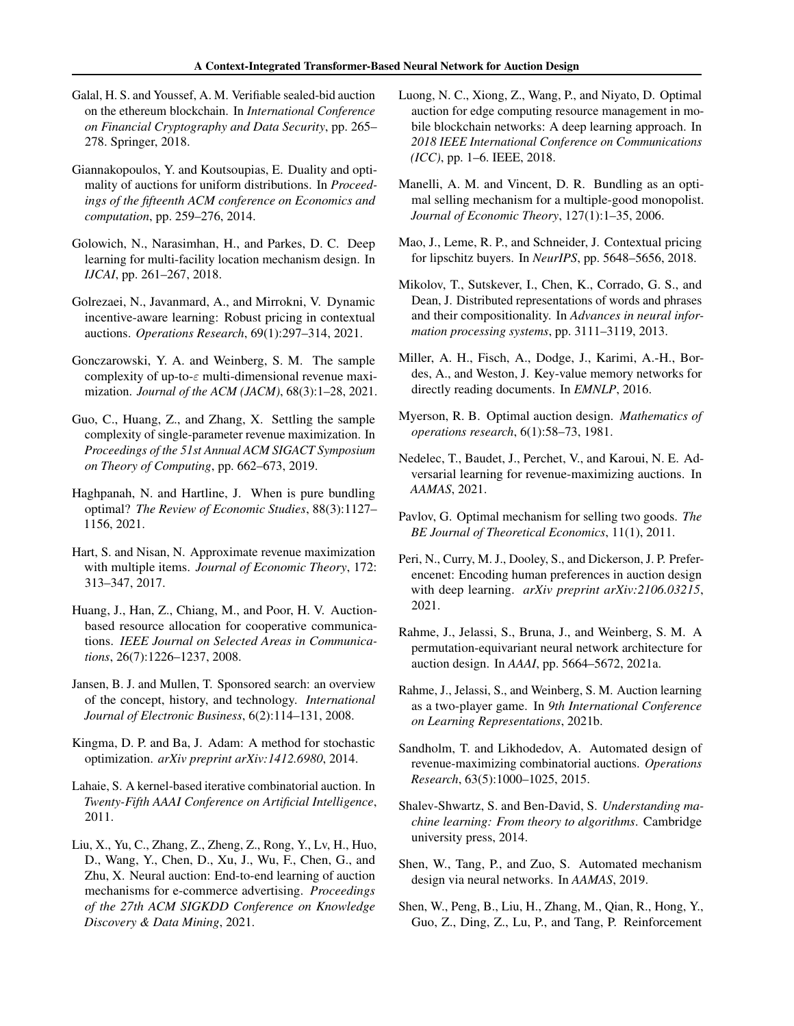- <span id="page-9-2"></span>Galal, H. S. and Youssef, A. M. Verifiable sealed-bid auction on the ethereum blockchain. In *International Conference on Financial Cryptography and Data Security*, pp. 265– 278. Springer, 2018.
- <span id="page-9-13"></span>Giannakopoulos, Y. and Koutsoupias, E. Duality and optimality of auctions for uniform distributions. In *Proceedings of the fifteenth ACM conference on Economics and computation*, pp. 259–276, 2014.
- <span id="page-9-20"></span>Golowich, N., Narasimhan, H., and Parkes, D. C. Deep learning for multi-facility location mechanism design. In *IJCAI*, pp. 261–267, 2018.
- <span id="page-9-23"></span>Golrezaei, N., Javanmard, A., and Mirrokni, V. Dynamic incentive-aware learning: Robust pricing in contextual auctions. *Operations Research*, 69(1):297–314, 2021.
- <span id="page-9-18"></span>Gonczarowski, Y. A. and Weinberg, S. M. The sample complexity of up-to- $\varepsilon$  multi-dimensional revenue maximization. *Journal of the ACM (JACM)*, 68(3):1–28, 2021.
- <span id="page-9-17"></span>Guo, C., Huang, Z., and Zhang, X. Settling the sample complexity of single-parameter revenue maximization. In *Proceedings of the 51st Annual ACM SIGACT Symposium on Theory of Computing*, pp. 662–673, 2019.
- <span id="page-9-14"></span>Haghpanah, N. and Hartline, J. When is pure bundling optimal? *The Review of Economic Studies*, 88(3):1127– 1156, 2021.
- <span id="page-9-15"></span>Hart, S. and Nisan, N. Approximate revenue maximization with multiple items. *Journal of Economic Theory*, 172: 313–347, 2017.
- <span id="page-9-1"></span>Huang, J., Han, Z., Chiang, M., and Poor, H. V. Auctionbased resource allocation for cooperative communications. *IEEE Journal on Selected Areas in Communications*, 26(7):1226–1237, 2008.
- <span id="page-9-0"></span>Jansen, B. J. and Mullen, T. Sponsored search: an overview of the concept, history, and technology. *International Journal of Electronic Business*, 6(2):114–131, 2008.
- <span id="page-9-27"></span>Kingma, D. P. and Ba, J. Adam: A method for stochastic optimization. *arXiv preprint arXiv:1412.6980*, 2014.
- <span id="page-9-16"></span>Lahaie, S. A kernel-based iterative combinatorial auction. In *Twenty-Fifth AAAI Conference on Artificial Intelligence*, 2011.
- <span id="page-9-8"></span>Liu, X., Yu, C., Zhang, Z., Zheng, Z., Rong, Y., Lv, H., Huo, D., Wang, Y., Chen, D., Xu, J., Wu, F., Chen, G., and Zhu, X. Neural auction: End-to-end learning of auction mechanisms for e-commerce advertising. *Proceedings of the 27th ACM SIGKDD Conference on Knowledge Discovery & Data Mining*, 2021.
- <span id="page-9-5"></span>Luong, N. C., Xiong, Z., Wang, P., and Niyato, D. Optimal auction for edge computing resource management in mobile blockchain networks: A deep learning approach. In *2018 IEEE International Conference on Communications (ICC)*, pp. 1–6. IEEE, 2018.
- <span id="page-9-11"></span>Manelli, A. M. and Vincent, D. R. Bundling as an optimal selling mechanism for a multiple-good monopolist. *Journal of Economic Theory*, 127(1):1–35, 2006.
- <span id="page-9-22"></span>Mao, J., Leme, R. P., and Schneider, J. Contextual pricing for lipschitz buyers. In *NeurIPS*, pp. 5648–5656, 2018.
- <span id="page-9-25"></span>Mikolov, T., Sutskever, I., Chen, K., Corrado, G. S., and Dean, J. Distributed representations of words and phrases and their compositionality. In *Advances in neural information processing systems*, pp. 3111–3119, 2013.
- <span id="page-9-26"></span>Miller, A. H., Fisch, A., Dodge, J., Karimi, A.-H., Bordes, A., and Weston, J. Key-value memory networks for directly reading documents. In *EMNLP*, 2016.
- <span id="page-9-3"></span>Myerson, R. B. Optimal auction design. *Mathematics of operations research*, 6(1):58–73, 1981.
- <span id="page-9-6"></span>Nedelec, T., Baudet, J., Perchet, V., and Karoui, N. E. Adversarial learning for revenue-maximizing auctions. In *AAMAS*, 2021.
- <span id="page-9-12"></span>Pavlov, G. Optimal mechanism for selling two goods. *The BE Journal of Theoretical Economics*, 11(1), 2011.
- <span id="page-9-21"></span>Peri, N., Curry, M. J., Dooley, S., and Dickerson, J. P. Preferencenet: Encoding human preferences in auction design with deep learning. *arXiv preprint arXiv:2106.03215*, 2021.
- <span id="page-9-10"></span>Rahme, J., Jelassi, S., Bruna, J., and Weinberg, S. M. A permutation-equivariant neural network architecture for auction design. In *AAAI*, pp. 5664–5672, 2021a.
- <span id="page-9-9"></span>Rahme, J., Jelassi, S., and Weinberg, S. M. Auction learning as a two-player game. In *9th International Conference on Learning Representations*, 2021b.
- <span id="page-9-19"></span>Sandholm, T. and Likhodedov, A. Automated design of revenue-maximizing combinatorial auctions. *Operations Research*, 63(5):1000–1025, 2015.
- <span id="page-9-24"></span>Shalev-Shwartz, S. and Ben-David, S. *Understanding machine learning: From theory to algorithms*. Cambridge university press, 2014.
- <span id="page-9-4"></span>Shen, W., Tang, P., and Zuo, S. Automated mechanism design via neural networks. In *AAMAS*, 2019.
- <span id="page-9-7"></span>Shen, W., Peng, B., Liu, H., Zhang, M., Qian, R., Hong, Y., Guo, Z., Ding, Z., Lu, P., and Tang, P. Reinforcement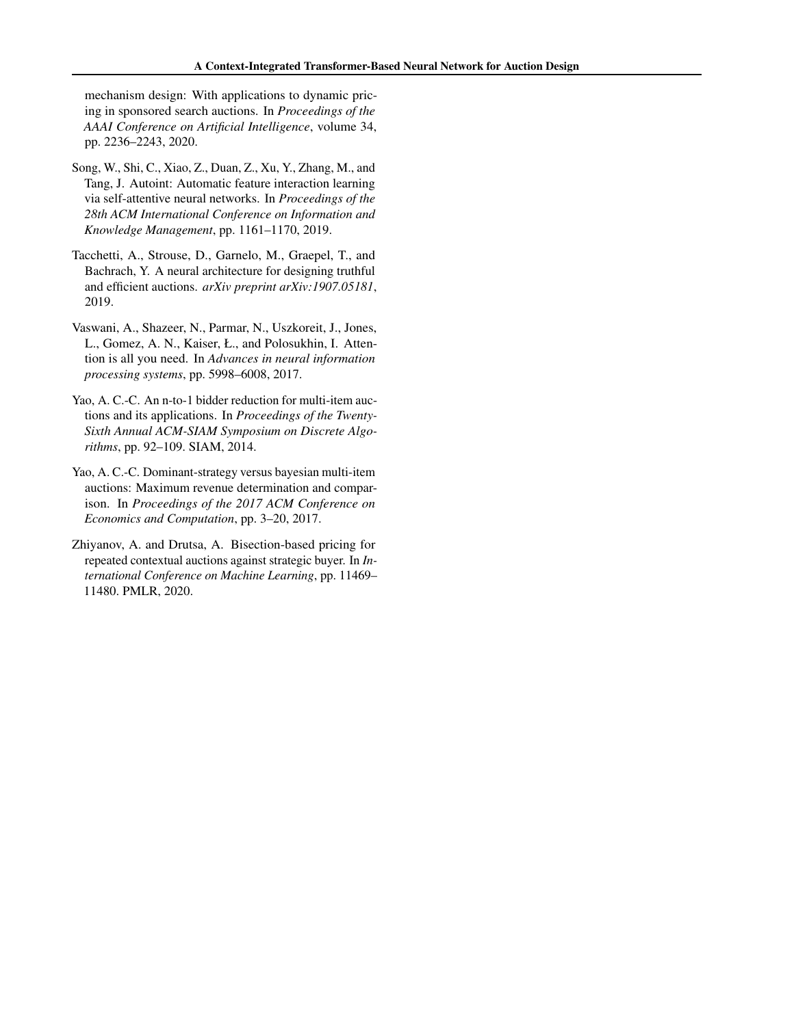mechanism design: With applications to dynamic pricing in sponsored search auctions. In *Proceedings of the AAAI Conference on Artificial Intelligence*, volume 34, pp. 2236–2243, 2020.

- <span id="page-10-5"></span>Song, W., Shi, C., Xiao, Z., Duan, Z., Xu, Y., Zhang, M., and Tang, J. Autoint: Automatic feature interaction learning via self-attentive neural networks. In *Proceedings of the 28th ACM International Conference on Information and Knowledge Management*, pp. 1161–1170, 2019.
- <span id="page-10-0"></span>Tacchetti, A., Strouse, D., Garnelo, M., Graepel, T., and Bachrach, Y. A neural architecture for designing truthful and efficient auctions. *arXiv preprint arXiv:1907.05181*, 2019.
- <span id="page-10-1"></span>Vaswani, A., Shazeer, N., Parmar, N., Uszkoreit, J., Jones, L., Gomez, A. N., Kaiser, Ł., and Polosukhin, I. Attention is all you need. In *Advances in neural information processing systems*, pp. 5998–6008, 2017.
- <span id="page-10-3"></span>Yao, A. C.-C. An n-to-1 bidder reduction for multi-item auctions and its applications. In *Proceedings of the Twenty-Sixth Annual ACM-SIAM Symposium on Discrete Algorithms*, pp. 92–109. SIAM, 2014.
- <span id="page-10-2"></span>Yao, A. C.-C. Dominant-strategy versus bayesian multi-item auctions: Maximum revenue determination and comparison. In *Proceedings of the 2017 ACM Conference on Economics and Computation*, pp. 3–20, 2017.
- <span id="page-10-4"></span>Zhiyanov, A. and Drutsa, A. Bisection-based pricing for repeated contextual auctions against strategic buyer. In *International Conference on Machine Learning*, pp. 11469– 11480. PMLR, 2020.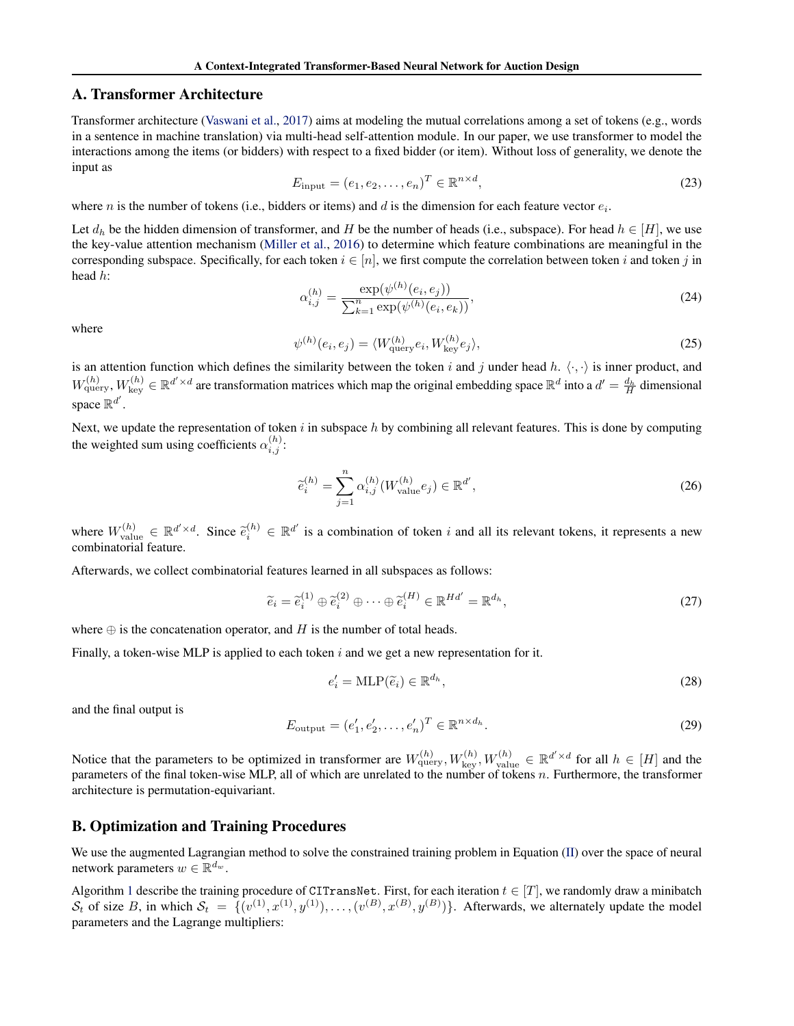### <span id="page-11-0"></span>A. Transformer Architecture

Transformer architecture [\(Vaswani et al.,](#page-10-1) [2017\)](#page-10-1) aims at modeling the mutual correlations among a set of tokens (e.g., words in a sentence in machine translation) via multi-head self-attention module. In our paper, we use transformer to model the interactions among the items (or bidders) with respect to a fixed bidder (or item). Without loss of generality, we denote the input as

$$
E_{\text{input}} = (e_1, e_2, \dots, e_n)^T \in \mathbb{R}^{n \times d},\tag{23}
$$

where *n* is the number of tokens (i.e., bidders or items) and *d* is the dimension for each feature vector  $e_i$ .

Let  $d_h$  be the hidden dimension of transformer, and H be the number of heads (i.e., subspace). For head  $h \in [H]$ , we use the key-value attention mechanism [\(Miller et al.,](#page-9-26) [2016\)](#page-9-26) to determine which feature combinations are meaningful in the corresponding subspace. Specifically, for each token  $i \in [n]$ , we first compute the correlation between token i and token j in head h:

$$
\alpha_{i,j}^{(h)} = \frac{\exp(\psi^{(h)}(e_i, e_j))}{\sum_{k=1}^n \exp(\psi^{(h)}(e_i, e_k))},\tag{24}
$$

where

$$
\psi^{(h)}(e_i, e_j) = \langle W_{\text{query}}^{(h)} e_i, W_{\text{key}}^{(h)} e_j \rangle,\tag{25}
$$

is an attention function which defines the similarity between the token i and j under head h.  $\langle \cdot, \cdot \rangle$  is inner product, and  $W_{\text{query}}^{(h)}$ ,  $W_{\text{key}}^{(h)} \in \mathbb{R}^{d' \times d}$  are transformation matrices which map the original embedding space  $\mathbb{R}^d$  into a  $d' = \frac{d_h}{H}$  dimensional space  $\mathbb{R}^{d'}$ .

Next, we update the representation of token  $i$  in subspace  $h$  by combining all relevant features. This is done by computing the weighted sum using coefficients  $\alpha_{i,j}^{(h)}$ :

$$
\widetilde{e}_i^{(h)} = \sum_{j=1}^n \alpha_{i,j}^{(h)}(W_{\text{value}}^{(h)} e_j) \in \mathbb{R}^{d'},
$$
\n(26)

where  $W_{\text{value}}^{(h)} \in \mathbb{R}^{d' \times d}$ . Since  $\tilde{e}_i^{(h)} \in \mathbb{R}^{d'}$  is a combination of token i and all its relevant tokens, it represents a new combinatorial feature.

Afterwards, we collect combinatorial features learned in all subspaces as follows:

$$
\widetilde{e}_i = \widetilde{e}_i^{(1)} \oplus \widetilde{e}_i^{(2)} \oplus \cdots \oplus \widetilde{e}_i^{(H)} \in \mathbb{R}^{Hd'} = \mathbb{R}^{d_h},\tag{27}
$$

where  $\oplus$  is the concatenation operator, and H is the number of total heads.

Finally, a token-wise MLP is applied to each token i and we get a new representation for it.

$$
e_i' = \text{MLP}(\tilde{e}_i) \in \mathbb{R}^{d_h},\tag{28}
$$

and the final output is

$$
E_{\text{output}} = (e'_1, e'_2, \dots, e'_n)^T \in \mathbb{R}^{n \times d_h}.
$$
\n(29)

Notice that the parameters to be optimized in transformer are  $W_{\text{query}}^{(h)}$ ,  $W_{\text{key}}^{(h)}$ ,  $W_{\text{value}}^{(h)} \in \mathbb{R}^{d' \times d}$  for all  $h \in [H]$  and the parameters of the final token-wise MLP, all of which are unrelated to the number of tokens n. Furthermore, the transformer architecture is permutation-equivariant.

### <span id="page-11-1"></span>B. Optimization and Training Procedures

We use the augmented Lagrangian method to solve the constrained training problem in Equation [\(II\)](#page-3-1) over the space of neural network parameters  $w \in \mathbb{R}^{d_w}$ .

Algorithm [1](#page-12-1) describe the training procedure of CITransNet. First, for each iteration  $t \in [T]$ , we randomly draw a minibatch  $S_t$  of size B, in which  $S_t = \{(v^{(1)}, x^{(1)}, y^{(1)}), \ldots, (v^{(B)}, x^{(B)}, y^{(B)})\}$ . Afterwards, we alternately update the model parameters and the Lagrange multipliers: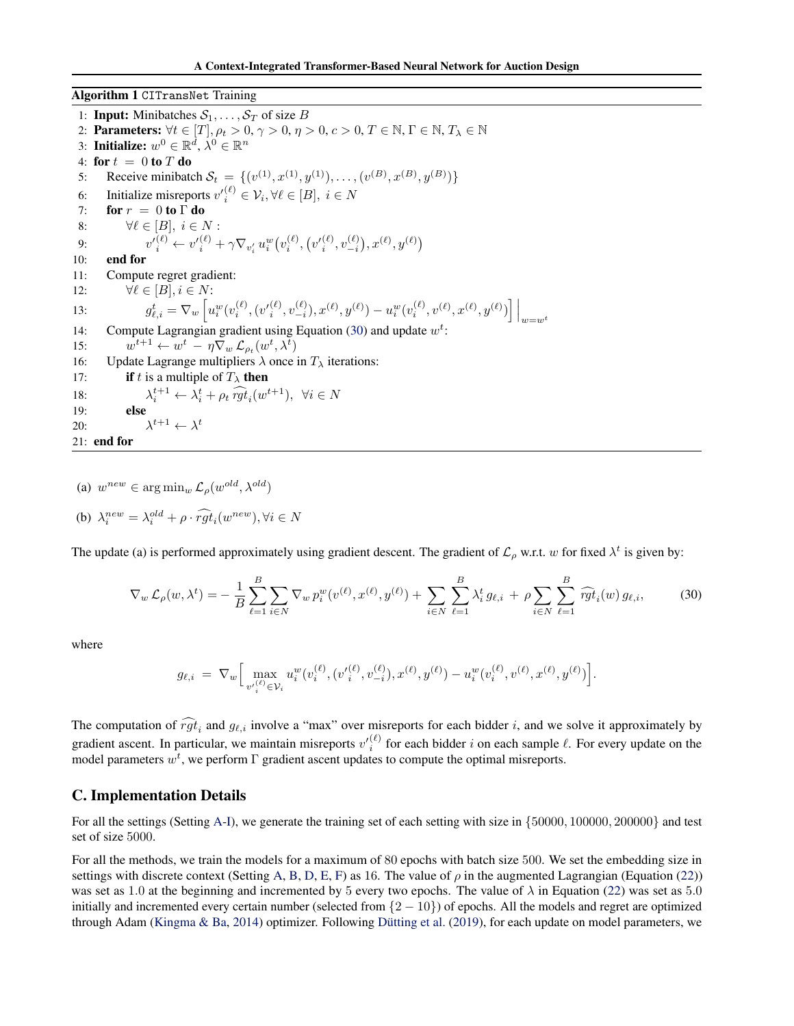<span id="page-12-1"></span>Algorithm 1 CITransNet Training

1: **Input:** Minibatches  $S_1, \ldots, S_T$  of size B 2: Parameters:  $\forall t \in [T], \rho_t > 0, \gamma > 0, \eta > 0, c > 0, T \in \mathbb{N}, \Gamma \in \mathbb{N}, T_{\lambda} \in \mathbb{N}$ 3: Initialize:  $w^0 \in \mathbb{R}^{\tilde{d}}, \lambda^0 \in \mathbb{R}^n$ 4: for  $t = 0$  to  $T$  do 5: Receive minibatch  $S_t = \{ (v^{(1)}, x^{(1)}, y^{(1)}), \dots, (v^{(B)}, x^{(B)}, y^{(B)}) \}$ 6: Initialize misreports  $v'^{(\ell)}_i \in \mathcal{V}_i, \forall \ell \in [B], i \in N$ 7: for  $r = 0$  to  $\Gamma$  do 8:  $\forall \ell \in [B], i \in N$ : 9:  $v'^{(\ell)}_i \leftarrow v'^{(\ell)}_i + \gamma \nabla_{v'_i} u^w_i(v^{(\ell)}_i, (v'^{(\ell)}_{i}, v^{{(\ell)}}_{-i}), x^{(\ell)}, y^{(\ell)})$ 10: end for 11: Compute regret gradient: 12:  $\forall \ell \in [B], i \in N$ :  $13:$  $\mathcal{L}_{\ell,i}^t = \nabla_w \left[ u_i^w(v_i^{(\ell)}, (v_{-i}^{\prime (\ell)}, v_{-i}^{(\ell)}), x^{(\ell)}, y^{(\ell)}) - u_i^w(v_i^{(\ell)}, v^{(\ell)}, x^{(\ell)}, y^{(\ell)}) \right] \Big|_{w=w^t}$ 14: Compute Lagrangian gradient using Equation [\(30\)](#page-12-2) and update  $w^t$ :  $15:$  $t^{t+1} \leftarrow w^t - \eta \nabla_w \mathcal{L}_{\rho_t}(w^t, \lambda^t)$ 16: Update Lagrange multipliers  $\lambda$  once in  $T_{\lambda}$  iterations: 17: **if** t is a multiple of  $T_{\lambda}$  then 18: λ  $t_i^{t+1} \leftarrow \lambda_i^t + \rho_t \widehat{rgt}_i(w^{t+1}), \ \ \forall i \in N$ 19: else 20:  $t+1 \leftarrow \lambda^t$ 21: end for

(a)  $w^{new} \in \arg\min_{w} \mathcal{L}_{\rho}(w^{old}, \lambda^{old})$ (b)  $\lambda_i^{new} = \lambda_i^{old} + \rho \cdot \widehat{rgt}_i(w^{new}), \forall i \in N$ 

The update (a) is performed approximately using gradient descent. The gradient of  $\mathcal{L}_\rho$  w.r.t. w for fixed  $\lambda^t$  is given by:

$$
\nabla_w \mathcal{L}_{\rho}(w, \lambda^t) = -\frac{1}{B} \sum_{\ell=1}^B \sum_{i \in N} \nabla_w p_i^w(v^{(\ell)}, x^{(\ell)}, y^{(\ell)}) + \sum_{i \in N} \sum_{\ell=1}^B \lambda_i^t g_{\ell, i} + \rho \sum_{i \in N} \sum_{\ell=1}^B \widehat{rgt}_i(w) g_{\ell, i}, \tag{30}
$$

where

<span id="page-12-2"></span>
$$
g_{\ell,i} \ = \ \nabla_w \Big[ \max_{v'^{(\ell)}_i \in \mathcal{V}_i} u^w_i(v^{(\ell)}_i,(v'^{(\ell)}_i, v^{{(\ell)}}_{-i}),x^{(\ell)},y^{(\ell)}) - u^w_i(v^{(\ell)}_i,v^{(\ell)},x^{(\ell)},y^{(\ell)}) \Big].
$$

The computation of  $rgt_i$  and  $g_{\ell,i}$  involve a "max" over misreports for each bidder i, and we solve it approximately by gradient ascent. In particular, we maintain misreports  $v_i^{(\ell)}$  for each bidder i on each sample  $\ell$ . For every update on the model parameters  $w^t$ , we perform  $\Gamma$  gradient ascent updates to compute the optimal misreports.

### <span id="page-12-0"></span>C. Implementation Details

For all the settings (Setting [A-](#page-6-1)[I\)](#page-6-5), we generate the training set of each setting with size in {50000, 100000, 200000} and test set of size 5000.

For all the methods, we train the models for a maximum of 80 epochs with batch size 500. We set the embedding size in settings with discrete context (Setting [A,](#page-6-1) [B,](#page-6-3) [D,](#page-6-4) [E,](#page-6-6) [F\)](#page-6-7) as 16. The value of  $\rho$  in the augmented Lagrangian (Equation [\(22\)](#page-5-4)) was set as 1.0 at the beginning and incremented by 5 every two epochs. The value of  $\lambda$  in Equation [\(22\)](#page-5-4) was set as 5.0 initially and incremented every certain number (selected from  $\{2 - 10\}$ ) of epochs. All the models and regret are optimized through Adam [\(Kingma & Ba,](#page-9-27) [2014\)](#page-9-27) optimizer. Following Dütting et al. [\(2019\)](#page-8-0), for each update on model parameters, we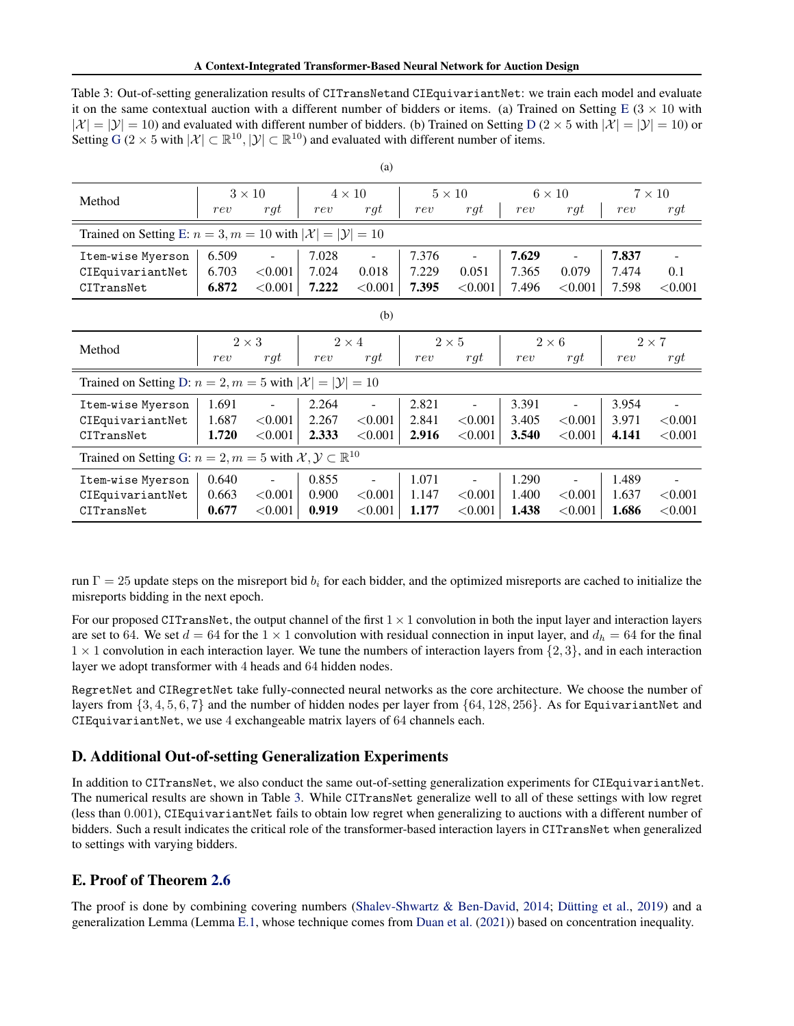<span id="page-13-2"></span>Table 3: Out-of-setting generalization results of CITransNetand CIEquivariantNet: we train each model and evaluate it on the same contextual auction with a different number of bidders or items. (a) Trained on Setting [E](#page-6-6) ( $3 \times 10$  with  $|\mathcal{X}| = |\mathcal{Y}| = 10$ ) and evaluated with different number of bidders. (b) Trained on Setting [D](#page-6-4) (2 × 5 with  $|\mathcal{X}| = |\mathcal{Y}| = 10$ ) or Setting [G](#page-6-8) (2 × 5 with  $|\mathcal{X}| \subset \mathbb{R}^{10}, |\mathcal{Y}| \subset \mathbb{R}^{10}$ ) and evaluated with different number of items.

| Method                                                                                       | $3 \times 10$ |                | $4 \times 10$ |                          | $5 \times 10$ |                          | $6 \times 10$ |                          | $7 \times 10$ |                |  |
|----------------------------------------------------------------------------------------------|---------------|----------------|---------------|--------------------------|---------------|--------------------------|---------------|--------------------------|---------------|----------------|--|
|                                                                                              | rev           | $\,rgt$        | rev           | rgt                      | rev           | $\,rgt$                  | rev           | rgt                      | rev           | rgt            |  |
| Trained on Setting E: $n = 3, m = 10$ with $ \mathcal{X}  =  \mathcal{Y}  = 10$              |               |                |               |                          |               |                          |               |                          |               |                |  |
| Item-wise Myerson                                                                            | 6.509         |                | 7.028         | $\overline{\phantom{a}}$ | 7.376         | $\overline{\phantom{a}}$ | 7.629         |                          | 7.837         |                |  |
| CIEquivariantNet                                                                             | 6.703         | < 0.001        | 7.024         | 0.018                    | 7.229         | 0.051                    | 7.365         | 0.079                    | 7.474         | 0.1            |  |
| CITransNet                                                                                   | 6.872         | < 0.001        | 7.222         | < 0.001                  | 7.395         | ${<}0.001$               | 7.496         | < 0.001                  | 7.598         | < 0.001        |  |
| (b)                                                                                          |               |                |               |                          |               |                          |               |                          |               |                |  |
| Method                                                                                       | $2 \times 3$  |                | $2 \times 4$  |                          | $2\times5$    |                          | $2\times 6$   |                          | $2\times7$    |                |  |
|                                                                                              | rev           | $\int$ rgt     | rev           | $\int$ rgt               | rev           | rgt                      | rev           | rgt                      | rev           | rgt            |  |
| Trained on Setting D: $n = 2, m = 5$ with $ \mathcal{X} $<br>$=  \mathcal{Y}  = 10$          |               |                |               |                          |               |                          |               |                          |               |                |  |
| Item-wise Myerson                                                                            | 1.691         |                | 2.264         | $\overline{\phantom{a}}$ | 2.821         |                          | 3.391         |                          | 3.954         | ٠              |  |
| CIEquivariantNet                                                                             | 1.687         | < 0.001        | 2.267         | < 0.001                  | 2.841         | < 0.001                  | 3.405         | < 0.001                  | 3.971         | < 0.001        |  |
| CITransNet                                                                                   | 1.720         | < 0.001        | 2.333         | < 0.001                  | 2.916         | < 0.001                  | 3.540         | ${<}0.001$               | 4.141         | < 0.001        |  |
| Trained on Setting G: $n = 2, m = 5$ with $\mathcal{X}, \mathcal{Y} \subset \mathbb{R}^{10}$ |               |                |               |                          |               |                          |               |                          |               |                |  |
| Item-wise Myerson                                                                            | 0.640         | $\blacksquare$ | 0.855         | $\blacksquare$           | 1.071         | $\blacksquare$           | 1.290         | $\overline{\phantom{0}}$ | 1.489         | $\overline{a}$ |  |
| CIEquivariantNet                                                                             | 0.663         | < 0.001        | 0.900         | < 0.001                  | 1.147         | < 0.001                  | 1.400         | < 0.001                  | 1.637         | < 0.001        |  |
| CITransNet                                                                                   | 0.677         | < 0.001        | 0.919         | ${<}0.001$               | 1.177         | < 0.001                  | 1.438         | < 0.001                  | 1.686         | < 0.001        |  |

run  $\Gamma = 25$  update steps on the misreport bid  $b_i$  for each bidder, and the optimized misreports are cached to initialize the misreports bidding in the next epoch.

For our proposed CITransNet, the output channel of the first  $1 \times 1$  convolution in both the input layer and interaction layers are set to 64. We set  $d = 64$  for the 1  $\times$  1 convolution with residual connection in input layer, and  $d_h = 64$  for the final  $1 \times 1$  convolution in each interaction layer. We tune the numbers of interaction layers from  $\{2, 3\}$ , and in each interaction layer we adopt transformer with 4 heads and 64 hidden nodes.

RegretNet and CIRegretNet take fully-connected neural networks as the core architecture. We choose the number of layers from  $\{3, 4, 5, 6, 7\}$  and the number of hidden nodes per layer from  $\{64, 128, 256\}$ . As for EquivariantNet and CIEquivariantNet, we use 4 exchangeable matrix layers of 64 channels each.

# <span id="page-13-1"></span>D. Additional Out-of-setting Generalization Experiments

In addition to CITransNet, we also conduct the same out-of-setting generalization experiments for CIEquivariantNet. The numerical results are shown in Table [3.](#page-13-2) While CITransNet generalize well to all of these settings with low regret (less than 0.001), CIEquivariantNet fails to obtain low regret when generalizing to auctions with a different number of bidders. Such a result indicates the critical role of the transformer-based interaction layers in CITransNet when generalized to settings with varying bidders.

# <span id="page-13-0"></span>E. Proof of Theorem [2.6](#page-3-2)

The proof is done by combining covering numbers [\(Shalev-Shwartz & Ben-David,](#page-9-24) [2014;](#page-9-24) Dütting et al., [2019\)](#page-8-0) and a generalization Lemma (Lemma [E.1,](#page-14-0) whose technique comes from [Duan et al.](#page-8-18) [\(2021\)](#page-8-18)) based on concentration inequality.

(a)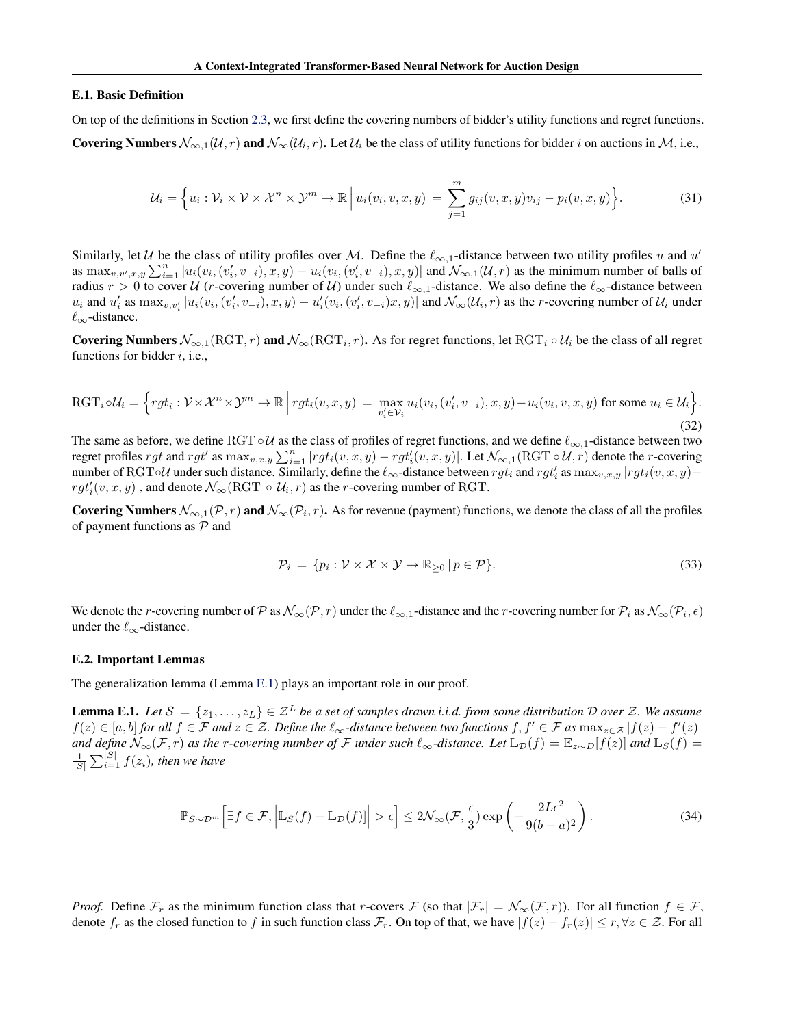#### E.1. Basic Definition

On top of the definitions in Section [2.3,](#page-3-3) we first define the covering numbers of bidder's utility functions and regret functions. **Covering Numbers**  $\mathcal{N}_{\infty,1}(\mathcal{U},r)$  and  $\mathcal{N}_{\infty}(\mathcal{U}_i,r)$ . Let  $\mathcal{U}_i$  be the class of utility functions for bidder i on auctions in M, i.e.,

$$
\mathcal{U}_i = \left\{ u_i : \mathcal{V}_i \times \mathcal{V} \times \mathcal{X}^n \times \mathcal{Y}^m \to \mathbb{R} \, \Big| \, u_i(v_i, v, x, y) = \sum_{j=1}^m g_{ij}(v, x, y) v_{ij} - p_i(v, x, y) \right\}.
$$

Similarly, let U be the class of utility profiles over M. Define the  $\ell_{\infty,1}$ -distance between two utility profiles u and u' as  $\max_{v,v',x,y} \sum_{i=1}^n |u_i(v_i,(v'_i,v_{-i}),x,y) - u_i(v_i,(v'_i,v_{-i}),x,y)|$  and  $\mathcal{N}_{\infty,1}(\mathcal{U},r)$  as the minimum number of balls of radius  $r > 0$  to cover U (r-covering number of U) under such  $\ell_{\infty,1}$ -distance. We also define the  $\ell_{\infty}$ -distance between  $u_i$  and  $u'_i$  as  $\max_{v,v'_i} |u_i(v_i,(v'_i,v_{-i}),x,y) - u'_i(v_i,(v'_i,v_{-i})x,y)|$  and  $\mathcal{N}_{\infty}(\mathcal{U}_i,r)$  as the *r*-covering number of  $\mathcal{U}_i$  under  $\ell_{\infty}$ -distance.

Covering Numbers  $\mathcal{N}_{\infty,1}(\text{RGT}, r)$  and  $\mathcal{N}_{\infty}(\text{RGT}_i, r)$ . As for regret functions, let  $\text{RGT}_i \circ \mathcal{U}_i$  be the class of all regret functions for bidder  $i$ , i.e.,

$$
\text{RGT}_i \circ \mathcal{U}_i = \Big\{ rgt_i : \mathcal{V} \times \mathcal{X}^n \times \mathcal{Y}^m \to \mathbb{R} \Big| rgt_i(v, x, y) = \max_{v'_i \in \mathcal{V}_i} u_i(v_i, (v'_i, v_{-i}), x, y) - u_i(v_i, v, x, y) \text{ for some } u_i \in \mathcal{U}_i \Big\}.
$$
\n
$$
(32)
$$

The same as before, we define RGT ∘ U as the class of profiles of regret functions, and we define  $\ell_{\infty,1}$ -distance between two regret profiles  $rgt$  and  $rgt'$  as  $\max_{v,x,y} \sum_{i=1}^{n} |rgt_i(v, x, y) - rgt_i'(v, x, y)|$ . Let  $\mathcal{N}_{\infty,1}(\text{RGT} \circ \mathcal{U}, r)$  denote the *r*-covering number of RGT◦U under such distance. Similarly, define the  $\ell_{\infty}$ -distance between  $rgt_i$  and  $rgt_i'$  as  $\max_{v,x,y} |rgt_i(v, x, y)$  $rgt'_{i}(v, x, y)$ , and denote  $\mathcal{N}_{\infty}(\text{RGT } \circ \mathcal{U}_i, r)$  as the *r*-covering number of RGT.

**Covering Numbers**  $\mathcal{N}_{\infty,1}(\mathcal{P},r)$  and  $\mathcal{N}_{\infty}(\mathcal{P}_i,r)$ . As for revenue (payment) functions, we denote the class of all the profiles of payment functions as  $P$  and

$$
\mathcal{P}_i = \{ p_i : \mathcal{V} \times \mathcal{X} \times \mathcal{Y} \to \mathbb{R}_{\geq 0} \, | \, p \in \mathcal{P} \}. \tag{33}
$$

We denote the *r*-covering number of P as  $\mathcal{N}_{\infty}(\mathcal{P}, r)$  under the  $\ell_{\infty,1}$ -distance and the *r*-covering number for  $\mathcal{P}_i$  as  $\mathcal{N}_{\infty}(\mathcal{P}_i, \epsilon)$ under the  $\ell_{\infty}$ -distance.

#### E.2. Important Lemmas

<span id="page-14-0"></span>The generalization lemma (Lemma [E.1\)](#page-14-0) plays an important role in our proof.

**Lemma E.1.** Let  $S = \{z_1, \ldots, z_L\} \in \mathcal{Z}^L$  be a set of samples drawn i.i.d. from some distribution D over Z. We assume  $f(z) \in [a, b]$  *for all*  $f \in \mathcal{F}$  *and*  $z \in \mathcal{Z}$ *. Define the*  $\ell_{\infty}$ *-distance between two functions*  $f, f' \in \mathcal{F}$  *as*  $\max_{z \in \mathcal{Z}} |f(z) - f'(z)|$ *and define*  $\mathcal{N}_{\infty}(\mathcal{F}, r)$  *as the r-covering number of*  $\mathcal F$  *under such*  $\ell_{\infty}$ *-distance. Let*  $\mathbb{L}_{\mathcal{D}}(f) = \mathbb{E}_{z \sim D}[f(z)]$  *and*  $\mathbb{L}_S(f) =$  $\frac{1}{|S|} \sum_{i=1}^{|S|} f(z_i)$ , then we have

$$
\mathbb{P}_{S \sim \mathcal{D}^m} \left[ \exists f \in \mathcal{F}, \left| \mathbb{L}_S(f) - \mathbb{L}_{\mathcal{D}}(f) \right| \right| > \epsilon \right] \le 2\mathcal{N}_{\infty}(\mathcal{F}, \frac{\epsilon}{3}) \exp\left( -\frac{2L\epsilon^2}{9(b-a)^2} \right). \tag{34}
$$

*Proof.* Define  $\mathcal{F}_r$  as the minimum function class that r-covers  $\mathcal{F}$  (so that  $|\mathcal{F}_r| = \mathcal{N}_{\infty}(\mathcal{F}, r)$ ). For all function  $f \in \mathcal{F}$ , denote  $f_r$  as the closed function to f in such function class  $\mathcal{F}_r$ . On top of that, we have  $|f(z) - f_r(z)| \le r, \forall z \in \mathcal{Z}$ . For all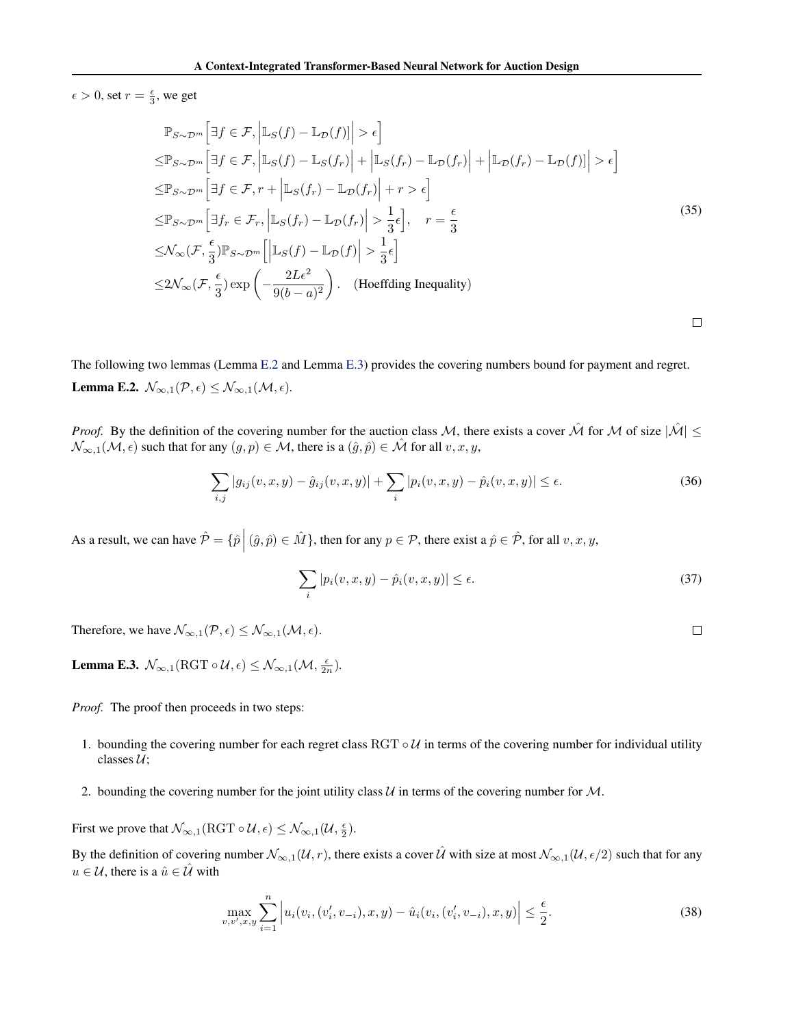$\epsilon > 0$ , set  $r = \frac{\epsilon}{3}$ , we get

$$
\mathbb{P}_{S \sim \mathcal{D}^{m}} \Big[ \exists f \in \mathcal{F}, \left| \mathbb{L}_{S}(f) - \mathbb{L}_{\mathcal{D}}(f) \right| \Big| > \epsilon \Big]
$$
  
\n
$$
\leq \mathbb{P}_{S \sim \mathcal{D}^{m}} \Big[ \exists f \in \mathcal{F}, \left| \mathbb{L}_{S}(f) - \mathbb{L}_{S}(f_{r}) \right| + \left| \mathbb{L}_{S}(f_{r}) - \mathbb{L}_{\mathcal{D}}(f_{r}) \right| + \left| \mathbb{L}_{\mathcal{D}}(f_{r}) - \mathbb{L}_{\mathcal{D}}(f) \right| \Big| > \epsilon \Big]
$$
  
\n
$$
\leq \mathbb{P}_{S \sim \mathcal{D}^{m}} \Big[ \exists f \in \mathcal{F}, r + \left| \mathbb{L}_{S}(f_{r}) - \mathbb{L}_{\mathcal{D}}(f_{r}) \right| + r > \epsilon \Big]
$$
  
\n
$$
\leq \mathbb{P}_{S \sim \mathcal{D}^{m}} \Big[ \exists f_{r} \in \mathcal{F}_{r}, \left| \mathbb{L}_{S}(f_{r}) - \mathbb{L}_{\mathcal{D}}(f_{r}) \right| > \frac{1}{3} \epsilon \Big], \quad r = \frac{\epsilon}{3}
$$
  
\n
$$
\leq \mathcal{N}_{\infty}(\mathcal{F}, \frac{\epsilon}{3}) \mathbb{P}_{S \sim \mathcal{D}^{m}} \Big[ \Big| \mathbb{L}_{S}(f) - \mathbb{L}_{\mathcal{D}}(f) \Big| > \frac{1}{3} \epsilon \Big]
$$
  
\n
$$
\leq 2\mathcal{N}_{\infty}(\mathcal{F}, \frac{\epsilon}{3}) \exp\left( -\frac{2L\epsilon^{2}}{9(b-a)^{2}} \right). \quad \text{(Hoeffding Inequality)}
$$

<span id="page-15-0"></span>The following two lemmas (Lemma [E.2](#page-15-0) and Lemma [E.3\)](#page-15-1) provides the covering numbers bound for payment and regret. **Lemma E.2.**  $\mathcal{N}_{\infty,1}(\mathcal{P}, \epsilon) \leq \mathcal{N}_{\infty,1}(\mathcal{M}, \epsilon)$ .

*Proof.* By the definition of the covering number for the auction class M, there exists a cover  $\hat{M}$  for M of size  $|\hat{M}| \leq$  $\mathcal{N}_{\infty,1}(\mathcal{M}, \epsilon)$  such that for any  $(g, p) \in \mathcal{M}$ , there is a  $(\hat{g}, \hat{p}) \in \hat{\mathcal{M}}$  for all  $v, x, y$ ,

$$
\sum_{i,j} |g_{ij}(v, x, y) - \hat{g}_{ij}(v, x, y)| + \sum_{i} |p_i(v, x, y) - \hat{p}_i(v, x, y)| \le \epsilon.
$$
 (36)

As a result, we can have  $\hat{\mathcal{P}} = \{ \hat{p} \mid (\hat{g}, \hat{p}) \in \hat{M} \}$ , then for any  $p \in \mathcal{P}$ , there exist a  $\hat{p} \in \hat{\mathcal{P}}$ , for all  $v, x, y$ ,

$$
\sum_{i} |p_i(v, x, y) - \hat{p}_i(v, x, y)| \le \epsilon.
$$
\n(37)

 $\Box$ 

 $\Box$ 

Therefore, we have  $\mathcal{N}_{\infty,1}(\mathcal{P}, \epsilon) \leq \mathcal{N}_{\infty,1}(\mathcal{M}, \epsilon)$ .

<span id="page-15-1"></span>**Lemma E.3.**  $\mathcal{N}_{\infty,1}(\text{RGT}\circ\mathcal{U},\epsilon) \leq \mathcal{N}_{\infty,1}(\mathcal{M},\frac{\epsilon}{2n}).$ 

*Proof.* The proof then proceeds in two steps:

- 1. bounding the covering number for each regret class RGT  $\circ U$  in terms of the covering number for individual utility classes  $U$ ;
- 2. bounding the covering number for the joint utility class  $U$  in terms of the covering number for  $M$ .

First we prove that  $\mathcal{N}_{\infty,1}(\operatorname{RGT}\circ \mathcal{U}, \epsilon) \leq \mathcal{N}_{\infty,1}(\mathcal{U}, \frac{\epsilon}{2}).$ 

By the definition of covering number  $\mathcal{N}_{\infty,1}(\mathcal{U}, r)$ , there exists a cover  $\hat{\mathcal{U}}$  with size at most  $\mathcal{N}_{\infty,1}(\mathcal{U}, \epsilon/2)$  such that for any  $u \in \mathcal{U}$ , there is a  $\hat{u} \in \mathcal{U}$  with

$$
\max_{v,v',x,y} \sum_{i=1}^{n} \left| u_i(v_i,(v'_i,v_{-i}),x,y) - \hat{u}_i(v_i,(v'_i,v_{-i}),x,y) \right| \le \frac{\epsilon}{2}.
$$
\n(38)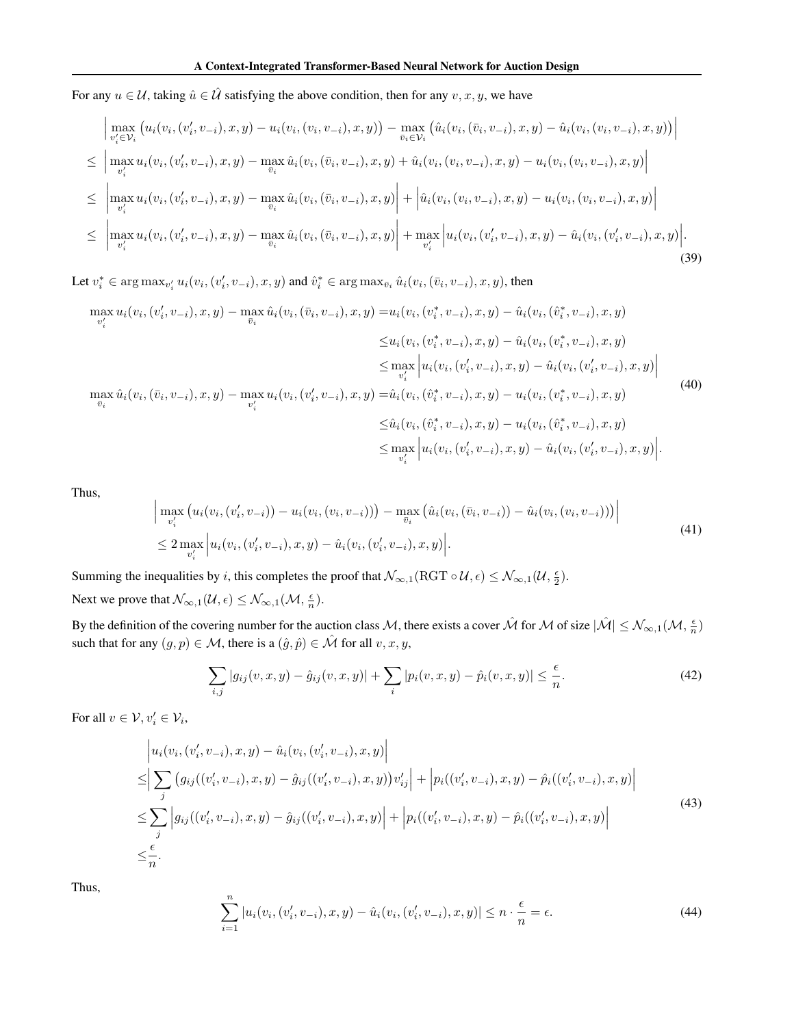For any  $u \in \mathcal{U}$ , taking  $\hat{u} \in \hat{\mathcal{U}}$  satisfying the above condition, then for any  $v, x, y$ , we have

$$
\begin{split}\n&\left|\max_{v'_{i}\in\mathcal{V}_{i}}\left(u_{i}(v_{i},(v'_{i},v_{-i}),x,y)-u_{i}(v_{i},(v_{i},v_{-i}),x,y)\right)-\max_{\bar{v}_{i}\in\mathcal{V}_{i}}\left(\hat{u}_{i}(v_{i},(\bar{v}_{i},v_{-i}),x,y)-\hat{u}_{i}(v_{i},(v_{i},v_{-i}),x,y)\right)\right| \\
&\leq \left|\max_{v'_{i}}u_{i}(v_{i},(v'_{i},v_{-i}),x,y)-\max_{\bar{v}_{i}}\hat{u}_{i}(v_{i},(\bar{v}_{i},v_{-i}),x,y)+\hat{u}_{i}(v_{i},(v_{i},v_{-i}),x,y)-u_{i}(v_{i},(v_{i},v_{-i}),x,y)\right| \\
&\leq \left|\max_{v'_{i}}u_{i}(v_{i},(v'_{i},v_{-i}),x,y)-\max_{\bar{v}_{i}}\hat{u}_{i}(v_{i},(\bar{v}_{i},v_{-i}),x,y)\right| + \left|\hat{u}_{i}(v_{i},(v_{i},v_{-i}),x,y)-u_{i}(v_{i},(v_{i},v_{-i}),x,y)\right| \\
&\leq \left|\max_{v'_{i}}u_{i}(v_{i},(v'_{i},v_{-i}),x,y)-\max_{\bar{v}_{i}}\hat{u}_{i}(v_{i},(\bar{v}_{i},v_{-i}),x,y)\right| + \max_{v'_{i}}\left|u_{i}(v_{i},(v'_{i},v_{-i}),x,y)-\hat{u}_{i}(v_{i},(v'_{i},v_{-i}),x,y)\right|. \n\end{split} \tag{39}
$$

Let  $v_i^* \in \arg \max_{v_i'} u_i(v_i, (v_i', v_{-i}), x, y)$  and  $\hat{v}_i^* \in \arg \max_{\bar{v}_i} \hat{u}_i(v_i, (\bar{v}_i, v_{-i}), x, y)$ , then

$$
\max_{v'_i} u_i(v_i, (v'_i, v_{-i}), x, y) - \max_{\bar{v}_i} \hat{u}_i(v_i, (\bar{v}_i, v_{-i}), x, y) = u_i(v_i, (v_i^*, v_{-i}), x, y) - \hat{u}_i(v_i, (\hat{v}_i^*, v_{-i}), x, y) \n\leq u_i(v_i, (v_i^*, v_{-i}), x, y) - \hat{u}_i(v_i, (v_i^*, v_{-i}), x, y) \n\leq \max_{v'_i} \left| u_i(v_i, (v'_i, v_{-i}), x, y) - \hat{u}_i(v_i, (v'_i, v_{-i}), x, y) \right| \n\max_{\bar{v}_i} \hat{u}_i(v_i, (\bar{v}_i, v_{-i}), x, y) - \max_{v'_i} u_i(v_i, (v'_i, v_{-i}), x, y) = \hat{u}_i(v_i, (\hat{v}_i^*, v_{-i}), x, y) - u_i(v_i, (v_i^*, v_{-i}), x, y) \n\leq \hat{u}_i(v_i, (\hat{v}_i^*, v_{-i}), x, y) - u_i(v_i, (\hat{v}_i^*, v_{-i}), x, y) \n\leq \max_{v'_i} \left| u_i(v_i, (v'_i, v_{-i}), x, y) - \hat{u}_i(v_i, (v'_i, v_{-i}), x, y) \right|.
$$
\n(40)

Thus,

$$
\left| \max_{v'_i} \left( u_i(v_i, (v'_i, v_{-i})) - u_i(v_i, (v_i, v_{-i})) \right) - \max_{\bar{v}_i} \left( \hat{u}_i(v_i, (\bar{v}_i, v_{-i})) - \hat{u}_i(v_i, (v_i, v_{-i})) \right) \right|
$$
  
\n
$$
\leq 2 \max_{v'_i} \left| u_i(v_i, (v'_i, v_{-i}), x, y) - \hat{u}_i(v_i, (v'_i, v_{-i}), x, y) \right|.
$$
\n(41)

Summing the inequalities by *i*, this completes the proof that  $\mathcal{N}_{\infty,1}(\mathrm{RGT} \circ \mathcal{U}, \epsilon) \leq \mathcal{N}_{\infty,1}(\mathcal{U}, \frac{\epsilon}{2})$ .

Next we prove that  $\mathcal{N}_{\infty,1}(\mathcal{U}, \epsilon) \leq \mathcal{N}_{\infty,1}(\mathcal{M}, \frac{\epsilon}{n}).$ 

By the definition of the covering number for the auction class M, there exists a cover  $\hat{\mathcal{M}}$  for M of size  $|\hat{\mathcal{M}}| \leq \mathcal{N}_{\infty,1}(\mathcal{M},\frac{\epsilon}{n})$ such that for any  $(g, p) \in \mathcal{M}$ , there is a  $(\hat{g}, \hat{p}) \in \hat{\mathcal{M}}$  for all  $v, x, y$ ,

$$
\sum_{i,j} |g_{ij}(v,x,y) - \hat{g}_{ij}(v,x,y)| + \sum_{i} |p_i(v,x,y) - \hat{p}_i(v,x,y)| \le \frac{\epsilon}{n}.
$$
 (42)

For all  $v \in \mathcal{V}$ ,  $v'_i \in \mathcal{V}_i$ ,

$$
\begin{split}\n& \left| u_i(v_i, (v_i', v_{-i}), x, y) - \hat{u}_i(v_i, (v_i', v_{-i}), x, y) \right| \\
&\leq \left| \sum_j \left( g_{ij}((v_i', v_{-i}), x, y) - \hat{g}_{ij}((v_i', v_{-i}), x, y) \right) v_{ij}' \right| + \left| p_i((v_i', v_{-i}), x, y) - \hat{p}_i((v_i', v_{-i}), x, y) \right| \\
&\leq \sum_j \left| g_{ij}((v_i', v_{-i}), x, y) - \hat{g}_{ij}((v_i', v_{-i}), x, y) \right| + \left| p_i((v_i', v_{-i}), x, y) - \hat{p}_i((v_i', v_{-i}), x, y) \right| \\
&\leq \frac{\epsilon}{n}.\n\end{split} \tag{43}
$$

Thus,

$$
\sum_{i=1}^{n} |u_i(v_i, (v'_i, v_{-i}), x, y) - \hat{u}_i(v_i, (v'_i, v_{-i}), x, y)| \le n \cdot \frac{\epsilon}{n} = \epsilon.
$$
 (44)